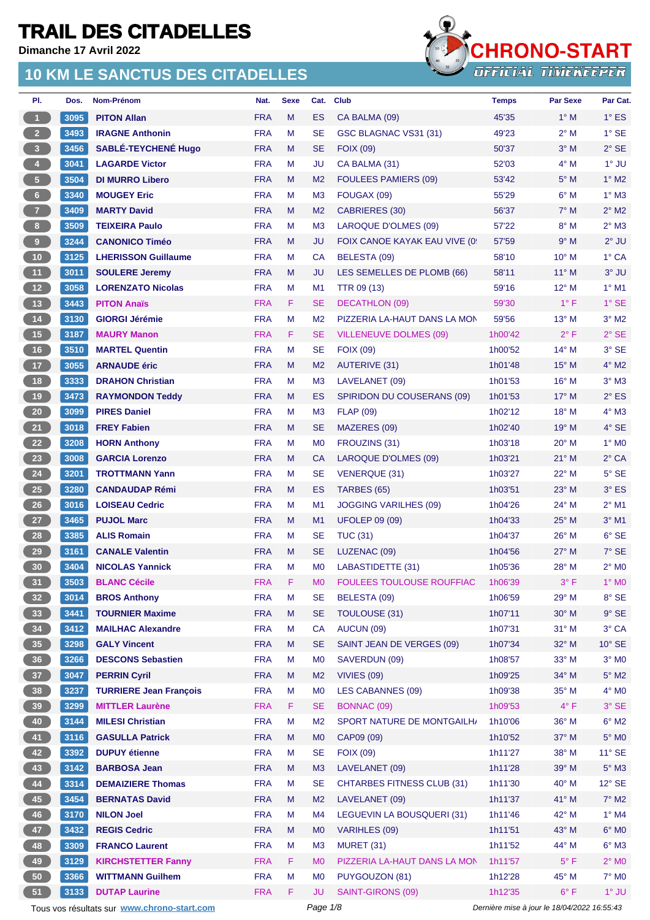**Dimanche 17 Avril 2022**



| 3095<br><b>FRA</b><br>$\mathbf{1}$<br><b>PITON Allan</b><br>M<br>ES<br>CA BALMA (09)<br>45'35<br>$1^\circ$ M<br>$1^{\circ}$ ES<br>$\overline{2}$<br>3493<br><b>IRAGNE Anthonin</b><br><b>FRA</b><br>M<br><b>SE</b><br>49'23<br>$2^{\circ}$ M<br>$1^\circ$ SE<br>GSC BLAGNAC VS31 (31)<br>3 <sup>2</sup><br>3456<br>$3^\circ$ M<br>$2^{\circ}$ SE<br><b>SABLÉ-TEYCHENE Hugo</b><br><b>FRA</b><br>M<br><b>SE</b><br><b>FOIX (09)</b><br>50'37<br>$1^\circ$ JU<br>$\overline{4}$<br><b>FRA</b><br>M<br>52'03<br>$4^\circ$ M<br>3041<br><b>LAGARDE Victor</b><br>JU<br>CA BALMA (31)<br>5 <sub>1</sub><br>3504<br>$1^\circ$ M2<br><b>DI MURRO Libero</b><br><b>FRA</b><br>М<br><b>FOULEES PAMIERS (09)</b><br>53'42<br>$5^\circ$ M<br>M <sub>2</sub><br>$6 -$<br>3340<br>$6^\circ$ M<br>$1^\circ$ M3<br><b>MOUGEY Eric</b><br><b>FRA</b><br>M<br>M <sub>3</sub><br>FOUGAX (09)<br>55'29<br>7 <sup>2</sup><br>3409<br><b>FRA</b><br>56'37<br>$7^\circ$ M<br>$2^{\circ}$ M2<br><b>MARTY David</b><br>M<br>M <sub>2</sub><br><b>CABRIERES (30)</b><br>8 <sub>1</sub><br>3509<br><b>TEIXEIRA Paulo</b><br><b>FRA</b><br>M<br>57'22<br>$8^\circ$ M<br>$2^{\circ}$ M3<br>M <sub>3</sub><br>LAROQUE D'OLMES (09)<br>9 <sub>1</sub><br><b>FRA</b><br>9° M<br>$2^{\circ}$ JU<br>3244<br>M<br><b>JU</b><br>FOIX CANOE KAYAK EAU VIVE (0)<br>57'59<br><b>CANONICO Timéo</b><br>10 <sub>1</sub><br>58'10<br>10° M<br>$1^\circ$ CA<br>3125<br><b>FRA</b><br>М<br>CA<br>BELESTA (09)<br><b>LHERISSON Guillaume</b><br>11 <sup>7</sup><br>3011<br>M<br>$3°$ JU<br><b>SOULERE Jeremy</b><br><b>FRA</b><br><b>JU</b><br>LES SEMELLES DE PLOMB (66)<br>58'11<br>$11^{\circ}$ M<br>$12$<br>3058<br>59'16<br>$1^\circ$ M1<br><b>LORENZATO Nicolas</b><br><b>FRA</b><br>M<br>M <sub>1</sub><br><b>TTR 09 (13)</b><br>$12^{\circ}$ M<br>13 <sup>°</sup><br>3443<br><b>FRA</b><br>F<br><b>SE</b><br>59'30<br>$1^{\circ}$ F<br>$1^\circ$ SE<br><b>PITON Anaïs</b><br><b>DECATHLON (09)</b><br>14<br><b>FRA</b><br>M<br>$13^{\circ}$ M<br>$3^\circ$ M2<br>3130<br>M <sub>2</sub><br>PIZZERIA LA-HAUT DANS LA MON<br>59'56<br><b>GIORGI Jérémie</b><br>15<br><b>FRA</b><br>F<br>$2^{\circ}$ F<br>$2°$ SE<br>3187<br><b>SE</b><br><b>VILLENEUVE DOLMES (09)</b><br>1h00'42<br><b>MAURY Manon</b><br>16<br>3510<br><b>FRA</b><br><b>SE</b><br>$3^\circ$ SE<br><b>MARTEL Quentin</b><br>М<br>$14^{\circ}$ M<br><b>FOIX (09)</b><br>1h00'52<br>17 <sup>°</sup><br>3055<br>$4^\circ$ M2<br><b>ARNAUDE éric</b><br><b>FRA</b><br>M<br>M <sub>2</sub><br><b>AUTERIVE (31)</b><br>1h01'48<br>$15^{\circ}$ M<br>18<br>3333<br>$3°$ M $3$<br><b>DRAHON Christian</b><br><b>FRA</b><br>M<br>M <sub>3</sub><br>1h01'53<br>$16^{\circ}$ M<br>LAVELANET (09)<br>19<br>3473<br><b>FRA</b><br>$2^{\circ}$ ES<br><b>RAYMONDON Teddy</b><br>м<br>ES<br><b>SPIRIDON DU COUSERANS (09)</b><br>1h01'53<br>$17^\circ$ M<br>20 <sub>2</sub><br><b>FRA</b><br>18° M<br>$4^\circ$ M3<br>3099<br><b>PIRES Daniel</b><br>M<br>M <sub>3</sub><br><b>FLAP (09)</b><br>1h02'12<br>21<br>3018<br>4° SE<br><b>FREY Fabien</b><br><b>FRA</b><br>M<br><b>SE</b><br>MAZERES (09)<br>1h02'40<br>$19°$ M<br>22<br>3208<br><b>FRA</b><br>M<br><b>HORN Anthony</b><br>M <sub>0</sub><br>FROUZINS (31)<br>20° M<br>$1^\circ$ MO<br>1h03'18<br>23<br>3008<br><b>GARCIA Lorenzo</b><br><b>FRA</b><br>M<br><b>CA</b><br>LAROQUE D'OLMES (09)<br>1h03'21<br>$21^{\circ}$ M<br>$2^{\circ}$ CA<br>24<br>3201<br><b>FRA</b><br>M<br><b>SE</b><br>22° M<br>$5^\circ$ SE<br><b>TROTTMANN Yann</b><br><b>VENERQUE (31)</b><br>1h03'27<br>25 <sub>2</sub><br>3° ES<br>3280<br><b>FRA</b><br>М<br>ES<br>23° M<br><b>CANDAUDAP Rémi</b><br>TARBES (65)<br>1h03'51<br>$2^{\circ}$ M1<br>26<br><b>FRA</b><br>24° M<br>3016<br><b>LOISEAU Cedric</b><br>М<br>M <sub>1</sub><br><b>JOGGING VARILHES (09)</b><br>1h04'26<br>27<br>3465<br><b>FRA</b><br>$3°$ M1<br><b>PUJOL Marc</b><br>М<br>M1<br><b>UFOLEP 09 (09)</b><br>$25^{\circ}$ M<br>1h04'33<br>28<br>3385<br>$6°$ SE<br><b>ALIS Romain</b><br><b>FRA</b><br>M<br><b>SE</b><br><b>TUC (31)</b><br>1h04'37<br>26° M<br>29<br>3161<br>7° SE<br><b>CANALE Valentin</b><br><b>FRA</b><br>M<br><b>SE</b><br>LUZENAC (09)<br>$27^\circ$ M<br>1h04'56<br><b>FRA</b><br>$2^{\circ}$ MO<br>30 <sub>2</sub><br>3404<br><b>NICOLAS Yannick</b><br>M<br>M <sub>0</sub><br>LABASTIDETTE (31)<br>1h05'36<br>$28^{\circ}$ M<br>31<br>3503<br>FOULEES TOULOUSE ROUFFIAC<br><b>BLANC Cécile</b><br>F<br>M <sub>0</sub><br>1h06'39<br>$1^\circ$ MO<br><b>FRA</b><br>3° F<br>32 <sub>2</sub><br>8° SE<br>3014<br><b>BROS Anthony</b><br><b>FRA</b><br>M<br><b>SE</b><br>BELESTA (09)<br>1h06'59<br>$29°$ M<br>33<br>3441<br><b>TOURNIER Maxime</b><br><b>FRA</b><br>M<br><b>SE</b><br>30° M<br>$9°$ SE<br><b>TOULOUSE (31)</b><br>1h07'11<br>34<br>3° CA<br>3412<br><b>FRA</b><br>CA<br>AUCUN (09)<br>31° M<br><b>MAILHAC Alexandre</b><br>M<br>1h07'31<br>35 <sup>°</sup><br>$10^{\circ}$ SE<br>3298<br><b>FRA</b><br>M<br><b>SE</b><br>SAINT JEAN DE VERGES (09)<br>32° M<br><b>GALY Vincent</b><br>1h07'34<br>36 <sup>°</sup><br>3266<br><b>FRA</b><br>M<br>M <sub>0</sub><br>33° M<br>$3^\circ$ MO<br><b>DESCONS Sebastien</b><br>SAVERDUN (09)<br>1h08'57<br>37 <sup>°</sup><br>3047<br>34° M<br>$5^\circ$ M2<br><b>PERRIN Cyril</b><br><b>FRA</b><br>M<br>M <sub>2</sub><br>VIVIES (09)<br>1h09'25<br>38<br>3237<br><b>TURRIERE Jean François</b><br>$4^\circ$ MO<br><b>FRA</b><br>M<br>M <sub>0</sub><br>LES CABANNES (09)<br>1h09'38<br>35° M<br>39<br>3299<br><b>MITTLER Laurène</b><br>F<br>$4^{\circ}$ F<br>3° SE<br><b>FRA</b><br><b>SE</b><br><b>BONNAC (09)</b><br>1h09'53<br>40<br>$6^{\circ}$ M2<br>3144<br>SPORT NATURE DE MONTGAILH/<br>36° M<br><b>MILESI Christian</b><br><b>FRA</b><br>M<br>M <sub>2</sub><br>1h10'06<br>$5^\circ$ MO<br>41<br>3116<br><b>GASULLA Patrick</b><br><b>FRA</b><br>M<br>M <sub>0</sub><br>CAP09 (09)<br>1h10'52<br>37° M<br>42<br>3392<br><b>DUPUY</b> étienne<br><b>FRA</b><br>38° M<br>$11^\circ$ SE<br>M<br><b>SE</b><br><b>FOIX (09)</b><br>1h11'27<br>43<br>3142<br><b>BARBOSA Jean</b><br>1h11'28<br>39° M<br>$5^\circ$ M3<br><b>FRA</b><br>M<br>M <sub>3</sub><br>LAVELANET (09)<br>44<br>3314<br>M<br><b>SE</b><br>40° M<br>$12^{\circ}$ SE<br><b>DEMAIZIERE Thomas</b><br><b>FRA</b><br><b>CHTARBES FITNESS CLUB (31)</b><br>1h11'30<br>45<br>3454<br>$7^\circ$ M2<br><b>BERNATAS David</b><br><b>FRA</b><br>M<br>M <sub>2</sub><br>LAVELANET (09)<br>1h11'37<br>41° M<br>46<br>42° M<br>$1^\circ$ M4<br>3170<br><b>NILON Joel</b><br><b>FRA</b><br>M<br>M4<br>LEGUEVIN LA BOUSQUERI (31)<br>1h11'46<br>47<br>3432<br><b>FRA</b><br>M<br>43° M<br>$6^\circ$ MO<br><b>REGIS Cedric</b><br>M <sub>0</sub><br>VARIHLES (09)<br>1h11'51<br>48<br>$6^\circ$ M3<br>3309<br><b>FRANCO Laurent</b><br><b>FRA</b><br>M<br>M <sub>3</sub><br><b>MURET (31)</b><br>1h11'52<br>44° M<br>49<br>3129<br>$2^{\circ}$ MO<br><b>KIRCHSTETTER Fanny</b><br><b>FRA</b><br>F.<br>M <sub>0</sub><br>PIZZERIA LA-HAUT DANS LA MON<br>1h11'57<br>$5^{\circ}$ F<br>50<br>3366<br>45° M<br>$7^\circ$ MO<br><b>WITTMANN Guilhem</b><br><b>FRA</b><br>M<br>M <sub>0</sub><br>PUYGOUZON (81)<br>1h12'28<br>51<br>F<br>$6^{\circ}$ F<br>$1°$ JU<br>3133<br><b>DUTAP Laurine</b><br><b>FRA</b><br>JU<br>SAINT-GIRONS (09)<br>1h12'35<br>Page 1/8<br>Dernière mise à jour le 18/04/2022 16:55:43<br>Tous vos résultats sur www.chrono-start.com | PI. | Dos. | Nom-Prénom | Nat. | <b>Sexe</b> | Cat. | Club | <b>Temps</b> | <b>Par Sexe</b> | Par Cat. |
|--------------------------------------------------------------------------------------------------------------------------------------------------------------------------------------------------------------------------------------------------------------------------------------------------------------------------------------------------------------------------------------------------------------------------------------------------------------------------------------------------------------------------------------------------------------------------------------------------------------------------------------------------------------------------------------------------------------------------------------------------------------------------------------------------------------------------------------------------------------------------------------------------------------------------------------------------------------------------------------------------------------------------------------------------------------------------------------------------------------------------------------------------------------------------------------------------------------------------------------------------------------------------------------------------------------------------------------------------------------------------------------------------------------------------------------------------------------------------------------------------------------------------------------------------------------------------------------------------------------------------------------------------------------------------------------------------------------------------------------------------------------------------------------------------------------------------------------------------------------------------------------------------------------------------------------------------------------------------------------------------------------------------------------------------------------------------------------------------------------------------------------------------------------------------------------------------------------------------------------------------------------------------------------------------------------------------------------------------------------------------------------------------------------------------------------------------------------------------------------------------------------------------------------------------------------------------------------------------------------------------------------------------------------------------------------------------------------------------------------------------------------------------------------------------------------------------------------------------------------------------------------------------------------------------------------------------------------------------------------------------------------------------------------------------------------------------------------------------------------------------------------------------------------------------------------------------------------------------------------------------------------------------------------------------------------------------------------------------------------------------------------------------------------------------------------------------------------------------------------------------------------------------------------------------------------------------------------------------------------------------------------------------------------------------------------------------------------------------------------------------------------------------------------------------------------------------------------------------------------------------------------------------------------------------------------------------------------------------------------------------------------------------------------------------------------------------------------------------------------------------------------------------------------------------------------------------------------------------------------------------------------------------------------------------------------------------------------------------------------------------------------------------------------------------------------------------------------------------------------------------------------------------------------------------------------------------------------------------------------------------------------------------------------------------------------------------------------------------------------------------------------------------------------------------------------------------------------------------------------------------------------------------------------------------------------------------------------------------------------------------------------------------------------------------------------------------------------------------------------------------------------------------------------------------------------------------------------------------------------------------------------------------------------------------------------------------------------------------------------------------------------------------------------------------------------------------------------------------------------------------------------------------------------------------------------------------------------------------------------------------------------------------------------------------------------------------------------------------------------------------------------------------------------------------------------------------------------------------------------------------------------------------------------------------------------------------------------------------------------------------------------------------------------------------------------------------------------------------------------------------------------------------------------------------------------------------------------------------------------------------------------------------------------------------------------------------------------------------------------------------------------------------------------------------------------------------------------------------------------------------------------------------------------------------------------------------------------------------------------------------------------------------------------------------------------------------------------------------------------------------------------------------------------------------------------------------------------------------------------------------------------------------------------------------------------------------------------------------------------------------------------------------------------------------------------------------------------------------------------------------------------------------------------------------------------------------------------------------------------------------------------------------------------------------------------------------------------------------------------------------------------------------------------------------|-----|------|------------|------|-------------|------|------|--------------|-----------------|----------|
|                                                                                                                                                                                                                                                                                                                                                                                                                                                                                                                                                                                                                                                                                                                                                                                                                                                                                                                                                                                                                                                                                                                                                                                                                                                                                                                                                                                                                                                                                                                                                                                                                                                                                                                                                                                                                                                                                                                                                                                                                                                                                                                                                                                                                                                                                                                                                                                                                                                                                                                                                                                                                                                                                                                                                                                                                                                                                                                                                                                                                                                                                                                                                                                                                                                                                                                                                                                                                                                                                                                                                                                                                                                                                                                                                                                                                                                                                                                                                                                                                                                                                                                                                                                                                                                                                                                                                                                                                                                                                                                                                                                                                                                                                                                                                                                                                                                                                                                                                                                                                                                                                                                                                                                                                                                                                                                                                                                                                                                                                                                                                                                                                                                                                                                                                                                                                                                                                                                                                                                                                                                                                                                                                                                                                                                                                                                                                                                                                                                                                                                                                                                                                                                                                                                                                                                                                                                                                                                                                                                                                                                                                                                                                                                                                                                                                                                                                                                                                          |     |      |            |      |             |      |      |              |                 |          |
|                                                                                                                                                                                                                                                                                                                                                                                                                                                                                                                                                                                                                                                                                                                                                                                                                                                                                                                                                                                                                                                                                                                                                                                                                                                                                                                                                                                                                                                                                                                                                                                                                                                                                                                                                                                                                                                                                                                                                                                                                                                                                                                                                                                                                                                                                                                                                                                                                                                                                                                                                                                                                                                                                                                                                                                                                                                                                                                                                                                                                                                                                                                                                                                                                                                                                                                                                                                                                                                                                                                                                                                                                                                                                                                                                                                                                                                                                                                                                                                                                                                                                                                                                                                                                                                                                                                                                                                                                                                                                                                                                                                                                                                                                                                                                                                                                                                                                                                                                                                                                                                                                                                                                                                                                                                                                                                                                                                                                                                                                                                                                                                                                                                                                                                                                                                                                                                                                                                                                                                                                                                                                                                                                                                                                                                                                                                                                                                                                                                                                                                                                                                                                                                                                                                                                                                                                                                                                                                                                                                                                                                                                                                                                                                                                                                                                                                                                                                                                          |     |      |            |      |             |      |      |              |                 |          |
|                                                                                                                                                                                                                                                                                                                                                                                                                                                                                                                                                                                                                                                                                                                                                                                                                                                                                                                                                                                                                                                                                                                                                                                                                                                                                                                                                                                                                                                                                                                                                                                                                                                                                                                                                                                                                                                                                                                                                                                                                                                                                                                                                                                                                                                                                                                                                                                                                                                                                                                                                                                                                                                                                                                                                                                                                                                                                                                                                                                                                                                                                                                                                                                                                                                                                                                                                                                                                                                                                                                                                                                                                                                                                                                                                                                                                                                                                                                                                                                                                                                                                                                                                                                                                                                                                                                                                                                                                                                                                                                                                                                                                                                                                                                                                                                                                                                                                                                                                                                                                                                                                                                                                                                                                                                                                                                                                                                                                                                                                                                                                                                                                                                                                                                                                                                                                                                                                                                                                                                                                                                                                                                                                                                                                                                                                                                                                                                                                                                                                                                                                                                                                                                                                                                                                                                                                                                                                                                                                                                                                                                                                                                                                                                                                                                                                                                                                                                                                          |     |      |            |      |             |      |      |              |                 |          |
|                                                                                                                                                                                                                                                                                                                                                                                                                                                                                                                                                                                                                                                                                                                                                                                                                                                                                                                                                                                                                                                                                                                                                                                                                                                                                                                                                                                                                                                                                                                                                                                                                                                                                                                                                                                                                                                                                                                                                                                                                                                                                                                                                                                                                                                                                                                                                                                                                                                                                                                                                                                                                                                                                                                                                                                                                                                                                                                                                                                                                                                                                                                                                                                                                                                                                                                                                                                                                                                                                                                                                                                                                                                                                                                                                                                                                                                                                                                                                                                                                                                                                                                                                                                                                                                                                                                                                                                                                                                                                                                                                                                                                                                                                                                                                                                                                                                                                                                                                                                                                                                                                                                                                                                                                                                                                                                                                                                                                                                                                                                                                                                                                                                                                                                                                                                                                                                                                                                                                                                                                                                                                                                                                                                                                                                                                                                                                                                                                                                                                                                                                                                                                                                                                                                                                                                                                                                                                                                                                                                                                                                                                                                                                                                                                                                                                                                                                                                                                          |     |      |            |      |             |      |      |              |                 |          |
|                                                                                                                                                                                                                                                                                                                                                                                                                                                                                                                                                                                                                                                                                                                                                                                                                                                                                                                                                                                                                                                                                                                                                                                                                                                                                                                                                                                                                                                                                                                                                                                                                                                                                                                                                                                                                                                                                                                                                                                                                                                                                                                                                                                                                                                                                                                                                                                                                                                                                                                                                                                                                                                                                                                                                                                                                                                                                                                                                                                                                                                                                                                                                                                                                                                                                                                                                                                                                                                                                                                                                                                                                                                                                                                                                                                                                                                                                                                                                                                                                                                                                                                                                                                                                                                                                                                                                                                                                                                                                                                                                                                                                                                                                                                                                                                                                                                                                                                                                                                                                                                                                                                                                                                                                                                                                                                                                                                                                                                                                                                                                                                                                                                                                                                                                                                                                                                                                                                                                                                                                                                                                                                                                                                                                                                                                                                                                                                                                                                                                                                                                                                                                                                                                                                                                                                                                                                                                                                                                                                                                                                                                                                                                                                                                                                                                                                                                                                                                          |     |      |            |      |             |      |      |              |                 |          |
|                                                                                                                                                                                                                                                                                                                                                                                                                                                                                                                                                                                                                                                                                                                                                                                                                                                                                                                                                                                                                                                                                                                                                                                                                                                                                                                                                                                                                                                                                                                                                                                                                                                                                                                                                                                                                                                                                                                                                                                                                                                                                                                                                                                                                                                                                                                                                                                                                                                                                                                                                                                                                                                                                                                                                                                                                                                                                                                                                                                                                                                                                                                                                                                                                                                                                                                                                                                                                                                                                                                                                                                                                                                                                                                                                                                                                                                                                                                                                                                                                                                                                                                                                                                                                                                                                                                                                                                                                                                                                                                                                                                                                                                                                                                                                                                                                                                                                                                                                                                                                                                                                                                                                                                                                                                                                                                                                                                                                                                                                                                                                                                                                                                                                                                                                                                                                                                                                                                                                                                                                                                                                                                                                                                                                                                                                                                                                                                                                                                                                                                                                                                                                                                                                                                                                                                                                                                                                                                                                                                                                                                                                                                                                                                                                                                                                                                                                                                                                          |     |      |            |      |             |      |      |              |                 |          |
|                                                                                                                                                                                                                                                                                                                                                                                                                                                                                                                                                                                                                                                                                                                                                                                                                                                                                                                                                                                                                                                                                                                                                                                                                                                                                                                                                                                                                                                                                                                                                                                                                                                                                                                                                                                                                                                                                                                                                                                                                                                                                                                                                                                                                                                                                                                                                                                                                                                                                                                                                                                                                                                                                                                                                                                                                                                                                                                                                                                                                                                                                                                                                                                                                                                                                                                                                                                                                                                                                                                                                                                                                                                                                                                                                                                                                                                                                                                                                                                                                                                                                                                                                                                                                                                                                                                                                                                                                                                                                                                                                                                                                                                                                                                                                                                                                                                                                                                                                                                                                                                                                                                                                                                                                                                                                                                                                                                                                                                                                                                                                                                                                                                                                                                                                                                                                                                                                                                                                                                                                                                                                                                                                                                                                                                                                                                                                                                                                                                                                                                                                                                                                                                                                                                                                                                                                                                                                                                                                                                                                                                                                                                                                                                                                                                                                                                                                                                                                          |     |      |            |      |             |      |      |              |                 |          |
|                                                                                                                                                                                                                                                                                                                                                                                                                                                                                                                                                                                                                                                                                                                                                                                                                                                                                                                                                                                                                                                                                                                                                                                                                                                                                                                                                                                                                                                                                                                                                                                                                                                                                                                                                                                                                                                                                                                                                                                                                                                                                                                                                                                                                                                                                                                                                                                                                                                                                                                                                                                                                                                                                                                                                                                                                                                                                                                                                                                                                                                                                                                                                                                                                                                                                                                                                                                                                                                                                                                                                                                                                                                                                                                                                                                                                                                                                                                                                                                                                                                                                                                                                                                                                                                                                                                                                                                                                                                                                                                                                                                                                                                                                                                                                                                                                                                                                                                                                                                                                                                                                                                                                                                                                                                                                                                                                                                                                                                                                                                                                                                                                                                                                                                                                                                                                                                                                                                                                                                                                                                                                                                                                                                                                                                                                                                                                                                                                                                                                                                                                                                                                                                                                                                                                                                                                                                                                                                                                                                                                                                                                                                                                                                                                                                                                                                                                                                                                          |     |      |            |      |             |      |      |              |                 |          |
|                                                                                                                                                                                                                                                                                                                                                                                                                                                                                                                                                                                                                                                                                                                                                                                                                                                                                                                                                                                                                                                                                                                                                                                                                                                                                                                                                                                                                                                                                                                                                                                                                                                                                                                                                                                                                                                                                                                                                                                                                                                                                                                                                                                                                                                                                                                                                                                                                                                                                                                                                                                                                                                                                                                                                                                                                                                                                                                                                                                                                                                                                                                                                                                                                                                                                                                                                                                                                                                                                                                                                                                                                                                                                                                                                                                                                                                                                                                                                                                                                                                                                                                                                                                                                                                                                                                                                                                                                                                                                                                                                                                                                                                                                                                                                                                                                                                                                                                                                                                                                                                                                                                                                                                                                                                                                                                                                                                                                                                                                                                                                                                                                                                                                                                                                                                                                                                                                                                                                                                                                                                                                                                                                                                                                                                                                                                                                                                                                                                                                                                                                                                                                                                                                                                                                                                                                                                                                                                                                                                                                                                                                                                                                                                                                                                                                                                                                                                                                          |     |      |            |      |             |      |      |              |                 |          |
|                                                                                                                                                                                                                                                                                                                                                                                                                                                                                                                                                                                                                                                                                                                                                                                                                                                                                                                                                                                                                                                                                                                                                                                                                                                                                                                                                                                                                                                                                                                                                                                                                                                                                                                                                                                                                                                                                                                                                                                                                                                                                                                                                                                                                                                                                                                                                                                                                                                                                                                                                                                                                                                                                                                                                                                                                                                                                                                                                                                                                                                                                                                                                                                                                                                                                                                                                                                                                                                                                                                                                                                                                                                                                                                                                                                                                                                                                                                                                                                                                                                                                                                                                                                                                                                                                                                                                                                                                                                                                                                                                                                                                                                                                                                                                                                                                                                                                                                                                                                                                                                                                                                                                                                                                                                                                                                                                                                                                                                                                                                                                                                                                                                                                                                                                                                                                                                                                                                                                                                                                                                                                                                                                                                                                                                                                                                                                                                                                                                                                                                                                                                                                                                                                                                                                                                                                                                                                                                                                                                                                                                                                                                                                                                                                                                                                                                                                                                                                          |     |      |            |      |             |      |      |              |                 |          |
|                                                                                                                                                                                                                                                                                                                                                                                                                                                                                                                                                                                                                                                                                                                                                                                                                                                                                                                                                                                                                                                                                                                                                                                                                                                                                                                                                                                                                                                                                                                                                                                                                                                                                                                                                                                                                                                                                                                                                                                                                                                                                                                                                                                                                                                                                                                                                                                                                                                                                                                                                                                                                                                                                                                                                                                                                                                                                                                                                                                                                                                                                                                                                                                                                                                                                                                                                                                                                                                                                                                                                                                                                                                                                                                                                                                                                                                                                                                                                                                                                                                                                                                                                                                                                                                                                                                                                                                                                                                                                                                                                                                                                                                                                                                                                                                                                                                                                                                                                                                                                                                                                                                                                                                                                                                                                                                                                                                                                                                                                                                                                                                                                                                                                                                                                                                                                                                                                                                                                                                                                                                                                                                                                                                                                                                                                                                                                                                                                                                                                                                                                                                                                                                                                                                                                                                                                                                                                                                                                                                                                                                                                                                                                                                                                                                                                                                                                                                                                          |     |      |            |      |             |      |      |              |                 |          |
|                                                                                                                                                                                                                                                                                                                                                                                                                                                                                                                                                                                                                                                                                                                                                                                                                                                                                                                                                                                                                                                                                                                                                                                                                                                                                                                                                                                                                                                                                                                                                                                                                                                                                                                                                                                                                                                                                                                                                                                                                                                                                                                                                                                                                                                                                                                                                                                                                                                                                                                                                                                                                                                                                                                                                                                                                                                                                                                                                                                                                                                                                                                                                                                                                                                                                                                                                                                                                                                                                                                                                                                                                                                                                                                                                                                                                                                                                                                                                                                                                                                                                                                                                                                                                                                                                                                                                                                                                                                                                                                                                                                                                                                                                                                                                                                                                                                                                                                                                                                                                                                                                                                                                                                                                                                                                                                                                                                                                                                                                                                                                                                                                                                                                                                                                                                                                                                                                                                                                                                                                                                                                                                                                                                                                                                                                                                                                                                                                                                                                                                                                                                                                                                                                                                                                                                                                                                                                                                                                                                                                                                                                                                                                                                                                                                                                                                                                                                                                          |     |      |            |      |             |      |      |              |                 |          |
|                                                                                                                                                                                                                                                                                                                                                                                                                                                                                                                                                                                                                                                                                                                                                                                                                                                                                                                                                                                                                                                                                                                                                                                                                                                                                                                                                                                                                                                                                                                                                                                                                                                                                                                                                                                                                                                                                                                                                                                                                                                                                                                                                                                                                                                                                                                                                                                                                                                                                                                                                                                                                                                                                                                                                                                                                                                                                                                                                                                                                                                                                                                                                                                                                                                                                                                                                                                                                                                                                                                                                                                                                                                                                                                                                                                                                                                                                                                                                                                                                                                                                                                                                                                                                                                                                                                                                                                                                                                                                                                                                                                                                                                                                                                                                                                                                                                                                                                                                                                                                                                                                                                                                                                                                                                                                                                                                                                                                                                                                                                                                                                                                                                                                                                                                                                                                                                                                                                                                                                                                                                                                                                                                                                                                                                                                                                                                                                                                                                                                                                                                                                                                                                                                                                                                                                                                                                                                                                                                                                                                                                                                                                                                                                                                                                                                                                                                                                                                          |     |      |            |      |             |      |      |              |                 |          |
|                                                                                                                                                                                                                                                                                                                                                                                                                                                                                                                                                                                                                                                                                                                                                                                                                                                                                                                                                                                                                                                                                                                                                                                                                                                                                                                                                                                                                                                                                                                                                                                                                                                                                                                                                                                                                                                                                                                                                                                                                                                                                                                                                                                                                                                                                                                                                                                                                                                                                                                                                                                                                                                                                                                                                                                                                                                                                                                                                                                                                                                                                                                                                                                                                                                                                                                                                                                                                                                                                                                                                                                                                                                                                                                                                                                                                                                                                                                                                                                                                                                                                                                                                                                                                                                                                                                                                                                                                                                                                                                                                                                                                                                                                                                                                                                                                                                                                                                                                                                                                                                                                                                                                                                                                                                                                                                                                                                                                                                                                                                                                                                                                                                                                                                                                                                                                                                                                                                                                                                                                                                                                                                                                                                                                                                                                                                                                                                                                                                                                                                                                                                                                                                                                                                                                                                                                                                                                                                                                                                                                                                                                                                                                                                                                                                                                                                                                                                                                          |     |      |            |      |             |      |      |              |                 |          |
|                                                                                                                                                                                                                                                                                                                                                                                                                                                                                                                                                                                                                                                                                                                                                                                                                                                                                                                                                                                                                                                                                                                                                                                                                                                                                                                                                                                                                                                                                                                                                                                                                                                                                                                                                                                                                                                                                                                                                                                                                                                                                                                                                                                                                                                                                                                                                                                                                                                                                                                                                                                                                                                                                                                                                                                                                                                                                                                                                                                                                                                                                                                                                                                                                                                                                                                                                                                                                                                                                                                                                                                                                                                                                                                                                                                                                                                                                                                                                                                                                                                                                                                                                                                                                                                                                                                                                                                                                                                                                                                                                                                                                                                                                                                                                                                                                                                                                                                                                                                                                                                                                                                                                                                                                                                                                                                                                                                                                                                                                                                                                                                                                                                                                                                                                                                                                                                                                                                                                                                                                                                                                                                                                                                                                                                                                                                                                                                                                                                                                                                                                                                                                                                                                                                                                                                                                                                                                                                                                                                                                                                                                                                                                                                                                                                                                                                                                                                                                          |     |      |            |      |             |      |      |              |                 |          |
|                                                                                                                                                                                                                                                                                                                                                                                                                                                                                                                                                                                                                                                                                                                                                                                                                                                                                                                                                                                                                                                                                                                                                                                                                                                                                                                                                                                                                                                                                                                                                                                                                                                                                                                                                                                                                                                                                                                                                                                                                                                                                                                                                                                                                                                                                                                                                                                                                                                                                                                                                                                                                                                                                                                                                                                                                                                                                                                                                                                                                                                                                                                                                                                                                                                                                                                                                                                                                                                                                                                                                                                                                                                                                                                                                                                                                                                                                                                                                                                                                                                                                                                                                                                                                                                                                                                                                                                                                                                                                                                                                                                                                                                                                                                                                                                                                                                                                                                                                                                                                                                                                                                                                                                                                                                                                                                                                                                                                                                                                                                                                                                                                                                                                                                                                                                                                                                                                                                                                                                                                                                                                                                                                                                                                                                                                                                                                                                                                                                                                                                                                                                                                                                                                                                                                                                                                                                                                                                                                                                                                                                                                                                                                                                                                                                                                                                                                                                                                          |     |      |            |      |             |      |      |              |                 |          |
|                                                                                                                                                                                                                                                                                                                                                                                                                                                                                                                                                                                                                                                                                                                                                                                                                                                                                                                                                                                                                                                                                                                                                                                                                                                                                                                                                                                                                                                                                                                                                                                                                                                                                                                                                                                                                                                                                                                                                                                                                                                                                                                                                                                                                                                                                                                                                                                                                                                                                                                                                                                                                                                                                                                                                                                                                                                                                                                                                                                                                                                                                                                                                                                                                                                                                                                                                                                                                                                                                                                                                                                                                                                                                                                                                                                                                                                                                                                                                                                                                                                                                                                                                                                                                                                                                                                                                                                                                                                                                                                                                                                                                                                                                                                                                                                                                                                                                                                                                                                                                                                                                                                                                                                                                                                                                                                                                                                                                                                                                                                                                                                                                                                                                                                                                                                                                                                                                                                                                                                                                                                                                                                                                                                                                                                                                                                                                                                                                                                                                                                                                                                                                                                                                                                                                                                                                                                                                                                                                                                                                                                                                                                                                                                                                                                                                                                                                                                                                          |     |      |            |      |             |      |      |              |                 |          |
|                                                                                                                                                                                                                                                                                                                                                                                                                                                                                                                                                                                                                                                                                                                                                                                                                                                                                                                                                                                                                                                                                                                                                                                                                                                                                                                                                                                                                                                                                                                                                                                                                                                                                                                                                                                                                                                                                                                                                                                                                                                                                                                                                                                                                                                                                                                                                                                                                                                                                                                                                                                                                                                                                                                                                                                                                                                                                                                                                                                                                                                                                                                                                                                                                                                                                                                                                                                                                                                                                                                                                                                                                                                                                                                                                                                                                                                                                                                                                                                                                                                                                                                                                                                                                                                                                                                                                                                                                                                                                                                                                                                                                                                                                                                                                                                                                                                                                                                                                                                                                                                                                                                                                                                                                                                                                                                                                                                                                                                                                                                                                                                                                                                                                                                                                                                                                                                                                                                                                                                                                                                                                                                                                                                                                                                                                                                                                                                                                                                                                                                                                                                                                                                                                                                                                                                                                                                                                                                                                                                                                                                                                                                                                                                                                                                                                                                                                                                                                          |     |      |            |      |             |      |      |              |                 |          |
|                                                                                                                                                                                                                                                                                                                                                                                                                                                                                                                                                                                                                                                                                                                                                                                                                                                                                                                                                                                                                                                                                                                                                                                                                                                                                                                                                                                                                                                                                                                                                                                                                                                                                                                                                                                                                                                                                                                                                                                                                                                                                                                                                                                                                                                                                                                                                                                                                                                                                                                                                                                                                                                                                                                                                                                                                                                                                                                                                                                                                                                                                                                                                                                                                                                                                                                                                                                                                                                                                                                                                                                                                                                                                                                                                                                                                                                                                                                                                                                                                                                                                                                                                                                                                                                                                                                                                                                                                                                                                                                                                                                                                                                                                                                                                                                                                                                                                                                                                                                                                                                                                                                                                                                                                                                                                                                                                                                                                                                                                                                                                                                                                                                                                                                                                                                                                                                                                                                                                                                                                                                                                                                                                                                                                                                                                                                                                                                                                                                                                                                                                                                                                                                                                                                                                                                                                                                                                                                                                                                                                                                                                                                                                                                                                                                                                                                                                                                                                          |     |      |            |      |             |      |      |              |                 |          |
|                                                                                                                                                                                                                                                                                                                                                                                                                                                                                                                                                                                                                                                                                                                                                                                                                                                                                                                                                                                                                                                                                                                                                                                                                                                                                                                                                                                                                                                                                                                                                                                                                                                                                                                                                                                                                                                                                                                                                                                                                                                                                                                                                                                                                                                                                                                                                                                                                                                                                                                                                                                                                                                                                                                                                                                                                                                                                                                                                                                                                                                                                                                                                                                                                                                                                                                                                                                                                                                                                                                                                                                                                                                                                                                                                                                                                                                                                                                                                                                                                                                                                                                                                                                                                                                                                                                                                                                                                                                                                                                                                                                                                                                                                                                                                                                                                                                                                                                                                                                                                                                                                                                                                                                                                                                                                                                                                                                                                                                                                                                                                                                                                                                                                                                                                                                                                                                                                                                                                                                                                                                                                                                                                                                                                                                                                                                                                                                                                                                                                                                                                                                                                                                                                                                                                                                                                                                                                                                                                                                                                                                                                                                                                                                                                                                                                                                                                                                                                          |     |      |            |      |             |      |      |              |                 |          |
|                                                                                                                                                                                                                                                                                                                                                                                                                                                                                                                                                                                                                                                                                                                                                                                                                                                                                                                                                                                                                                                                                                                                                                                                                                                                                                                                                                                                                                                                                                                                                                                                                                                                                                                                                                                                                                                                                                                                                                                                                                                                                                                                                                                                                                                                                                                                                                                                                                                                                                                                                                                                                                                                                                                                                                                                                                                                                                                                                                                                                                                                                                                                                                                                                                                                                                                                                                                                                                                                                                                                                                                                                                                                                                                                                                                                                                                                                                                                                                                                                                                                                                                                                                                                                                                                                                                                                                                                                                                                                                                                                                                                                                                                                                                                                                                                                                                                                                                                                                                                                                                                                                                                                                                                                                                                                                                                                                                                                                                                                                                                                                                                                                                                                                                                                                                                                                                                                                                                                                                                                                                                                                                                                                                                                                                                                                                                                                                                                                                                                                                                                                                                                                                                                                                                                                                                                                                                                                                                                                                                                                                                                                                                                                                                                                                                                                                                                                                                                          |     |      |            |      |             |      |      |              |                 |          |
|                                                                                                                                                                                                                                                                                                                                                                                                                                                                                                                                                                                                                                                                                                                                                                                                                                                                                                                                                                                                                                                                                                                                                                                                                                                                                                                                                                                                                                                                                                                                                                                                                                                                                                                                                                                                                                                                                                                                                                                                                                                                                                                                                                                                                                                                                                                                                                                                                                                                                                                                                                                                                                                                                                                                                                                                                                                                                                                                                                                                                                                                                                                                                                                                                                                                                                                                                                                                                                                                                                                                                                                                                                                                                                                                                                                                                                                                                                                                                                                                                                                                                                                                                                                                                                                                                                                                                                                                                                                                                                                                                                                                                                                                                                                                                                                                                                                                                                                                                                                                                                                                                                                                                                                                                                                                                                                                                                                                                                                                                                                                                                                                                                                                                                                                                                                                                                                                                                                                                                                                                                                                                                                                                                                                                                                                                                                                                                                                                                                                                                                                                                                                                                                                                                                                                                                                                                                                                                                                                                                                                                                                                                                                                                                                                                                                                                                                                                                                                          |     |      |            |      |             |      |      |              |                 |          |
|                                                                                                                                                                                                                                                                                                                                                                                                                                                                                                                                                                                                                                                                                                                                                                                                                                                                                                                                                                                                                                                                                                                                                                                                                                                                                                                                                                                                                                                                                                                                                                                                                                                                                                                                                                                                                                                                                                                                                                                                                                                                                                                                                                                                                                                                                                                                                                                                                                                                                                                                                                                                                                                                                                                                                                                                                                                                                                                                                                                                                                                                                                                                                                                                                                                                                                                                                                                                                                                                                                                                                                                                                                                                                                                                                                                                                                                                                                                                                                                                                                                                                                                                                                                                                                                                                                                                                                                                                                                                                                                                                                                                                                                                                                                                                                                                                                                                                                                                                                                                                                                                                                                                                                                                                                                                                                                                                                                                                                                                                                                                                                                                                                                                                                                                                                                                                                                                                                                                                                                                                                                                                                                                                                                                                                                                                                                                                                                                                                                                                                                                                                                                                                                                                                                                                                                                                                                                                                                                                                                                                                                                                                                                                                                                                                                                                                                                                                                                                          |     |      |            |      |             |      |      |              |                 |          |
|                                                                                                                                                                                                                                                                                                                                                                                                                                                                                                                                                                                                                                                                                                                                                                                                                                                                                                                                                                                                                                                                                                                                                                                                                                                                                                                                                                                                                                                                                                                                                                                                                                                                                                                                                                                                                                                                                                                                                                                                                                                                                                                                                                                                                                                                                                                                                                                                                                                                                                                                                                                                                                                                                                                                                                                                                                                                                                                                                                                                                                                                                                                                                                                                                                                                                                                                                                                                                                                                                                                                                                                                                                                                                                                                                                                                                                                                                                                                                                                                                                                                                                                                                                                                                                                                                                                                                                                                                                                                                                                                                                                                                                                                                                                                                                                                                                                                                                                                                                                                                                                                                                                                                                                                                                                                                                                                                                                                                                                                                                                                                                                                                                                                                                                                                                                                                                                                                                                                                                                                                                                                                                                                                                                                                                                                                                                                                                                                                                                                                                                                                                                                                                                                                                                                                                                                                                                                                                                                                                                                                                                                                                                                                                                                                                                                                                                                                                                                                          |     |      |            |      |             |      |      |              |                 |          |
|                                                                                                                                                                                                                                                                                                                                                                                                                                                                                                                                                                                                                                                                                                                                                                                                                                                                                                                                                                                                                                                                                                                                                                                                                                                                                                                                                                                                                                                                                                                                                                                                                                                                                                                                                                                                                                                                                                                                                                                                                                                                                                                                                                                                                                                                                                                                                                                                                                                                                                                                                                                                                                                                                                                                                                                                                                                                                                                                                                                                                                                                                                                                                                                                                                                                                                                                                                                                                                                                                                                                                                                                                                                                                                                                                                                                                                                                                                                                                                                                                                                                                                                                                                                                                                                                                                                                                                                                                                                                                                                                                                                                                                                                                                                                                                                                                                                                                                                                                                                                                                                                                                                                                                                                                                                                                                                                                                                                                                                                                                                                                                                                                                                                                                                                                                                                                                                                                                                                                                                                                                                                                                                                                                                                                                                                                                                                                                                                                                                                                                                                                                                                                                                                                                                                                                                                                                                                                                                                                                                                                                                                                                                                                                                                                                                                                                                                                                                                                          |     |      |            |      |             |      |      |              |                 |          |
|                                                                                                                                                                                                                                                                                                                                                                                                                                                                                                                                                                                                                                                                                                                                                                                                                                                                                                                                                                                                                                                                                                                                                                                                                                                                                                                                                                                                                                                                                                                                                                                                                                                                                                                                                                                                                                                                                                                                                                                                                                                                                                                                                                                                                                                                                                                                                                                                                                                                                                                                                                                                                                                                                                                                                                                                                                                                                                                                                                                                                                                                                                                                                                                                                                                                                                                                                                                                                                                                                                                                                                                                                                                                                                                                                                                                                                                                                                                                                                                                                                                                                                                                                                                                                                                                                                                                                                                                                                                                                                                                                                                                                                                                                                                                                                                                                                                                                                                                                                                                                                                                                                                                                                                                                                                                                                                                                                                                                                                                                                                                                                                                                                                                                                                                                                                                                                                                                                                                                                                                                                                                                                                                                                                                                                                                                                                                                                                                                                                                                                                                                                                                                                                                                                                                                                                                                                                                                                                                                                                                                                                                                                                                                                                                                                                                                                                                                                                                                          |     |      |            |      |             |      |      |              |                 |          |
|                                                                                                                                                                                                                                                                                                                                                                                                                                                                                                                                                                                                                                                                                                                                                                                                                                                                                                                                                                                                                                                                                                                                                                                                                                                                                                                                                                                                                                                                                                                                                                                                                                                                                                                                                                                                                                                                                                                                                                                                                                                                                                                                                                                                                                                                                                                                                                                                                                                                                                                                                                                                                                                                                                                                                                                                                                                                                                                                                                                                                                                                                                                                                                                                                                                                                                                                                                                                                                                                                                                                                                                                                                                                                                                                                                                                                                                                                                                                                                                                                                                                                                                                                                                                                                                                                                                                                                                                                                                                                                                                                                                                                                                                                                                                                                                                                                                                                                                                                                                                                                                                                                                                                                                                                                                                                                                                                                                                                                                                                                                                                                                                                                                                                                                                                                                                                                                                                                                                                                                                                                                                                                                                                                                                                                                                                                                                                                                                                                                                                                                                                                                                                                                                                                                                                                                                                                                                                                                                                                                                                                                                                                                                                                                                                                                                                                                                                                                                                          |     |      |            |      |             |      |      |              |                 |          |
|                                                                                                                                                                                                                                                                                                                                                                                                                                                                                                                                                                                                                                                                                                                                                                                                                                                                                                                                                                                                                                                                                                                                                                                                                                                                                                                                                                                                                                                                                                                                                                                                                                                                                                                                                                                                                                                                                                                                                                                                                                                                                                                                                                                                                                                                                                                                                                                                                                                                                                                                                                                                                                                                                                                                                                                                                                                                                                                                                                                                                                                                                                                                                                                                                                                                                                                                                                                                                                                                                                                                                                                                                                                                                                                                                                                                                                                                                                                                                                                                                                                                                                                                                                                                                                                                                                                                                                                                                                                                                                                                                                                                                                                                                                                                                                                                                                                                                                                                                                                                                                                                                                                                                                                                                                                                                                                                                                                                                                                                                                                                                                                                                                                                                                                                                                                                                                                                                                                                                                                                                                                                                                                                                                                                                                                                                                                                                                                                                                                                                                                                                                                                                                                                                                                                                                                                                                                                                                                                                                                                                                                                                                                                                                                                                                                                                                                                                                                                                          |     |      |            |      |             |      |      |              |                 |          |
|                                                                                                                                                                                                                                                                                                                                                                                                                                                                                                                                                                                                                                                                                                                                                                                                                                                                                                                                                                                                                                                                                                                                                                                                                                                                                                                                                                                                                                                                                                                                                                                                                                                                                                                                                                                                                                                                                                                                                                                                                                                                                                                                                                                                                                                                                                                                                                                                                                                                                                                                                                                                                                                                                                                                                                                                                                                                                                                                                                                                                                                                                                                                                                                                                                                                                                                                                                                                                                                                                                                                                                                                                                                                                                                                                                                                                                                                                                                                                                                                                                                                                                                                                                                                                                                                                                                                                                                                                                                                                                                                                                                                                                                                                                                                                                                                                                                                                                                                                                                                                                                                                                                                                                                                                                                                                                                                                                                                                                                                                                                                                                                                                                                                                                                                                                                                                                                                                                                                                                                                                                                                                                                                                                                                                                                                                                                                                                                                                                                                                                                                                                                                                                                                                                                                                                                                                                                                                                                                                                                                                                                                                                                                                                                                                                                                                                                                                                                                                          |     |      |            |      |             |      |      |              |                 |          |
|                                                                                                                                                                                                                                                                                                                                                                                                                                                                                                                                                                                                                                                                                                                                                                                                                                                                                                                                                                                                                                                                                                                                                                                                                                                                                                                                                                                                                                                                                                                                                                                                                                                                                                                                                                                                                                                                                                                                                                                                                                                                                                                                                                                                                                                                                                                                                                                                                                                                                                                                                                                                                                                                                                                                                                                                                                                                                                                                                                                                                                                                                                                                                                                                                                                                                                                                                                                                                                                                                                                                                                                                                                                                                                                                                                                                                                                                                                                                                                                                                                                                                                                                                                                                                                                                                                                                                                                                                                                                                                                                                                                                                                                                                                                                                                                                                                                                                                                                                                                                                                                                                                                                                                                                                                                                                                                                                                                                                                                                                                                                                                                                                                                                                                                                                                                                                                                                                                                                                                                                                                                                                                                                                                                                                                                                                                                                                                                                                                                                                                                                                                                                                                                                                                                                                                                                                                                                                                                                                                                                                                                                                                                                                                                                                                                                                                                                                                                                                          |     |      |            |      |             |      |      |              |                 |          |
|                                                                                                                                                                                                                                                                                                                                                                                                                                                                                                                                                                                                                                                                                                                                                                                                                                                                                                                                                                                                                                                                                                                                                                                                                                                                                                                                                                                                                                                                                                                                                                                                                                                                                                                                                                                                                                                                                                                                                                                                                                                                                                                                                                                                                                                                                                                                                                                                                                                                                                                                                                                                                                                                                                                                                                                                                                                                                                                                                                                                                                                                                                                                                                                                                                                                                                                                                                                                                                                                                                                                                                                                                                                                                                                                                                                                                                                                                                                                                                                                                                                                                                                                                                                                                                                                                                                                                                                                                                                                                                                                                                                                                                                                                                                                                                                                                                                                                                                                                                                                                                                                                                                                                                                                                                                                                                                                                                                                                                                                                                                                                                                                                                                                                                                                                                                                                                                                                                                                                                                                                                                                                                                                                                                                                                                                                                                                                                                                                                                                                                                                                                                                                                                                                                                                                                                                                                                                                                                                                                                                                                                                                                                                                                                                                                                                                                                                                                                                                          |     |      |            |      |             |      |      |              |                 |          |
|                                                                                                                                                                                                                                                                                                                                                                                                                                                                                                                                                                                                                                                                                                                                                                                                                                                                                                                                                                                                                                                                                                                                                                                                                                                                                                                                                                                                                                                                                                                                                                                                                                                                                                                                                                                                                                                                                                                                                                                                                                                                                                                                                                                                                                                                                                                                                                                                                                                                                                                                                                                                                                                                                                                                                                                                                                                                                                                                                                                                                                                                                                                                                                                                                                                                                                                                                                                                                                                                                                                                                                                                                                                                                                                                                                                                                                                                                                                                                                                                                                                                                                                                                                                                                                                                                                                                                                                                                                                                                                                                                                                                                                                                                                                                                                                                                                                                                                                                                                                                                                                                                                                                                                                                                                                                                                                                                                                                                                                                                                                                                                                                                                                                                                                                                                                                                                                                                                                                                                                                                                                                                                                                                                                                                                                                                                                                                                                                                                                                                                                                                                                                                                                                                                                                                                                                                                                                                                                                                                                                                                                                                                                                                                                                                                                                                                                                                                                                                          |     |      |            |      |             |      |      |              |                 |          |
|                                                                                                                                                                                                                                                                                                                                                                                                                                                                                                                                                                                                                                                                                                                                                                                                                                                                                                                                                                                                                                                                                                                                                                                                                                                                                                                                                                                                                                                                                                                                                                                                                                                                                                                                                                                                                                                                                                                                                                                                                                                                                                                                                                                                                                                                                                                                                                                                                                                                                                                                                                                                                                                                                                                                                                                                                                                                                                                                                                                                                                                                                                                                                                                                                                                                                                                                                                                                                                                                                                                                                                                                                                                                                                                                                                                                                                                                                                                                                                                                                                                                                                                                                                                                                                                                                                                                                                                                                                                                                                                                                                                                                                                                                                                                                                                                                                                                                                                                                                                                                                                                                                                                                                                                                                                                                                                                                                                                                                                                                                                                                                                                                                                                                                                                                                                                                                                                                                                                                                                                                                                                                                                                                                                                                                                                                                                                                                                                                                                                                                                                                                                                                                                                                                                                                                                                                                                                                                                                                                                                                                                                                                                                                                                                                                                                                                                                                                                                                          |     |      |            |      |             |      |      |              |                 |          |
|                                                                                                                                                                                                                                                                                                                                                                                                                                                                                                                                                                                                                                                                                                                                                                                                                                                                                                                                                                                                                                                                                                                                                                                                                                                                                                                                                                                                                                                                                                                                                                                                                                                                                                                                                                                                                                                                                                                                                                                                                                                                                                                                                                                                                                                                                                                                                                                                                                                                                                                                                                                                                                                                                                                                                                                                                                                                                                                                                                                                                                                                                                                                                                                                                                                                                                                                                                                                                                                                                                                                                                                                                                                                                                                                                                                                                                                                                                                                                                                                                                                                                                                                                                                                                                                                                                                                                                                                                                                                                                                                                                                                                                                                                                                                                                                                                                                                                                                                                                                                                                                                                                                                                                                                                                                                                                                                                                                                                                                                                                                                                                                                                                                                                                                                                                                                                                                                                                                                                                                                                                                                                                                                                                                                                                                                                                                                                                                                                                                                                                                                                                                                                                                                                                                                                                                                                                                                                                                                                                                                                                                                                                                                                                                                                                                                                                                                                                                                                          |     |      |            |      |             |      |      |              |                 |          |
|                                                                                                                                                                                                                                                                                                                                                                                                                                                                                                                                                                                                                                                                                                                                                                                                                                                                                                                                                                                                                                                                                                                                                                                                                                                                                                                                                                                                                                                                                                                                                                                                                                                                                                                                                                                                                                                                                                                                                                                                                                                                                                                                                                                                                                                                                                                                                                                                                                                                                                                                                                                                                                                                                                                                                                                                                                                                                                                                                                                                                                                                                                                                                                                                                                                                                                                                                                                                                                                                                                                                                                                                                                                                                                                                                                                                                                                                                                                                                                                                                                                                                                                                                                                                                                                                                                                                                                                                                                                                                                                                                                                                                                                                                                                                                                                                                                                                                                                                                                                                                                                                                                                                                                                                                                                                                                                                                                                                                                                                                                                                                                                                                                                                                                                                                                                                                                                                                                                                                                                                                                                                                                                                                                                                                                                                                                                                                                                                                                                                                                                                                                                                                                                                                                                                                                                                                                                                                                                                                                                                                                                                                                                                                                                                                                                                                                                                                                                                                          |     |      |            |      |             |      |      |              |                 |          |
|                                                                                                                                                                                                                                                                                                                                                                                                                                                                                                                                                                                                                                                                                                                                                                                                                                                                                                                                                                                                                                                                                                                                                                                                                                                                                                                                                                                                                                                                                                                                                                                                                                                                                                                                                                                                                                                                                                                                                                                                                                                                                                                                                                                                                                                                                                                                                                                                                                                                                                                                                                                                                                                                                                                                                                                                                                                                                                                                                                                                                                                                                                                                                                                                                                                                                                                                                                                                                                                                                                                                                                                                                                                                                                                                                                                                                                                                                                                                                                                                                                                                                                                                                                                                                                                                                                                                                                                                                                                                                                                                                                                                                                                                                                                                                                                                                                                                                                                                                                                                                                                                                                                                                                                                                                                                                                                                                                                                                                                                                                                                                                                                                                                                                                                                                                                                                                                                                                                                                                                                                                                                                                                                                                                                                                                                                                                                                                                                                                                                                                                                                                                                                                                                                                                                                                                                                                                                                                                                                                                                                                                                                                                                                                                                                                                                                                                                                                                                                          |     |      |            |      |             |      |      |              |                 |          |
|                                                                                                                                                                                                                                                                                                                                                                                                                                                                                                                                                                                                                                                                                                                                                                                                                                                                                                                                                                                                                                                                                                                                                                                                                                                                                                                                                                                                                                                                                                                                                                                                                                                                                                                                                                                                                                                                                                                                                                                                                                                                                                                                                                                                                                                                                                                                                                                                                                                                                                                                                                                                                                                                                                                                                                                                                                                                                                                                                                                                                                                                                                                                                                                                                                                                                                                                                                                                                                                                                                                                                                                                                                                                                                                                                                                                                                                                                                                                                                                                                                                                                                                                                                                                                                                                                                                                                                                                                                                                                                                                                                                                                                                                                                                                                                                                                                                                                                                                                                                                                                                                                                                                                                                                                                                                                                                                                                                                                                                                                                                                                                                                                                                                                                                                                                                                                                                                                                                                                                                                                                                                                                                                                                                                                                                                                                                                                                                                                                                                                                                                                                                                                                                                                                                                                                                                                                                                                                                                                                                                                                                                                                                                                                                                                                                                                                                                                                                                                          |     |      |            |      |             |      |      |              |                 |          |
|                                                                                                                                                                                                                                                                                                                                                                                                                                                                                                                                                                                                                                                                                                                                                                                                                                                                                                                                                                                                                                                                                                                                                                                                                                                                                                                                                                                                                                                                                                                                                                                                                                                                                                                                                                                                                                                                                                                                                                                                                                                                                                                                                                                                                                                                                                                                                                                                                                                                                                                                                                                                                                                                                                                                                                                                                                                                                                                                                                                                                                                                                                                                                                                                                                                                                                                                                                                                                                                                                                                                                                                                                                                                                                                                                                                                                                                                                                                                                                                                                                                                                                                                                                                                                                                                                                                                                                                                                                                                                                                                                                                                                                                                                                                                                                                                                                                                                                                                                                                                                                                                                                                                                                                                                                                                                                                                                                                                                                                                                                                                                                                                                                                                                                                                                                                                                                                                                                                                                                                                                                                                                                                                                                                                                                                                                                                                                                                                                                                                                                                                                                                                                                                                                                                                                                                                                                                                                                                                                                                                                                                                                                                                                                                                                                                                                                                                                                                                                          |     |      |            |      |             |      |      |              |                 |          |
|                                                                                                                                                                                                                                                                                                                                                                                                                                                                                                                                                                                                                                                                                                                                                                                                                                                                                                                                                                                                                                                                                                                                                                                                                                                                                                                                                                                                                                                                                                                                                                                                                                                                                                                                                                                                                                                                                                                                                                                                                                                                                                                                                                                                                                                                                                                                                                                                                                                                                                                                                                                                                                                                                                                                                                                                                                                                                                                                                                                                                                                                                                                                                                                                                                                                                                                                                                                                                                                                                                                                                                                                                                                                                                                                                                                                                                                                                                                                                                                                                                                                                                                                                                                                                                                                                                                                                                                                                                                                                                                                                                                                                                                                                                                                                                                                                                                                                                                                                                                                                                                                                                                                                                                                                                                                                                                                                                                                                                                                                                                                                                                                                                                                                                                                                                                                                                                                                                                                                                                                                                                                                                                                                                                                                                                                                                                                                                                                                                                                                                                                                                                                                                                                                                                                                                                                                                                                                                                                                                                                                                                                                                                                                                                                                                                                                                                                                                                                                          |     |      |            |      |             |      |      |              |                 |          |
|                                                                                                                                                                                                                                                                                                                                                                                                                                                                                                                                                                                                                                                                                                                                                                                                                                                                                                                                                                                                                                                                                                                                                                                                                                                                                                                                                                                                                                                                                                                                                                                                                                                                                                                                                                                                                                                                                                                                                                                                                                                                                                                                                                                                                                                                                                                                                                                                                                                                                                                                                                                                                                                                                                                                                                                                                                                                                                                                                                                                                                                                                                                                                                                                                                                                                                                                                                                                                                                                                                                                                                                                                                                                                                                                                                                                                                                                                                                                                                                                                                                                                                                                                                                                                                                                                                                                                                                                                                                                                                                                                                                                                                                                                                                                                                                                                                                                                                                                                                                                                                                                                                                                                                                                                                                                                                                                                                                                                                                                                                                                                                                                                                                                                                                                                                                                                                                                                                                                                                                                                                                                                                                                                                                                                                                                                                                                                                                                                                                                                                                                                                                                                                                                                                                                                                                                                                                                                                                                                                                                                                                                                                                                                                                                                                                                                                                                                                                                                          |     |      |            |      |             |      |      |              |                 |          |
|                                                                                                                                                                                                                                                                                                                                                                                                                                                                                                                                                                                                                                                                                                                                                                                                                                                                                                                                                                                                                                                                                                                                                                                                                                                                                                                                                                                                                                                                                                                                                                                                                                                                                                                                                                                                                                                                                                                                                                                                                                                                                                                                                                                                                                                                                                                                                                                                                                                                                                                                                                                                                                                                                                                                                                                                                                                                                                                                                                                                                                                                                                                                                                                                                                                                                                                                                                                                                                                                                                                                                                                                                                                                                                                                                                                                                                                                                                                                                                                                                                                                                                                                                                                                                                                                                                                                                                                                                                                                                                                                                                                                                                                                                                                                                                                                                                                                                                                                                                                                                                                                                                                                                                                                                                                                                                                                                                                                                                                                                                                                                                                                                                                                                                                                                                                                                                                                                                                                                                                                                                                                                                                                                                                                                                                                                                                                                                                                                                                                                                                                                                                                                                                                                                                                                                                                                                                                                                                                                                                                                                                                                                                                                                                                                                                                                                                                                                                                                          |     |      |            |      |             |      |      |              |                 |          |
|                                                                                                                                                                                                                                                                                                                                                                                                                                                                                                                                                                                                                                                                                                                                                                                                                                                                                                                                                                                                                                                                                                                                                                                                                                                                                                                                                                                                                                                                                                                                                                                                                                                                                                                                                                                                                                                                                                                                                                                                                                                                                                                                                                                                                                                                                                                                                                                                                                                                                                                                                                                                                                                                                                                                                                                                                                                                                                                                                                                                                                                                                                                                                                                                                                                                                                                                                                                                                                                                                                                                                                                                                                                                                                                                                                                                                                                                                                                                                                                                                                                                                                                                                                                                                                                                                                                                                                                                                                                                                                                                                                                                                                                                                                                                                                                                                                                                                                                                                                                                                                                                                                                                                                                                                                                                                                                                                                                                                                                                                                                                                                                                                                                                                                                                                                                                                                                                                                                                                                                                                                                                                                                                                                                                                                                                                                                                                                                                                                                                                                                                                                                                                                                                                                                                                                                                                                                                                                                                                                                                                                                                                                                                                                                                                                                                                                                                                                                                                          |     |      |            |      |             |      |      |              |                 |          |
|                                                                                                                                                                                                                                                                                                                                                                                                                                                                                                                                                                                                                                                                                                                                                                                                                                                                                                                                                                                                                                                                                                                                                                                                                                                                                                                                                                                                                                                                                                                                                                                                                                                                                                                                                                                                                                                                                                                                                                                                                                                                                                                                                                                                                                                                                                                                                                                                                                                                                                                                                                                                                                                                                                                                                                                                                                                                                                                                                                                                                                                                                                                                                                                                                                                                                                                                                                                                                                                                                                                                                                                                                                                                                                                                                                                                                                                                                                                                                                                                                                                                                                                                                                                                                                                                                                                                                                                                                                                                                                                                                                                                                                                                                                                                                                                                                                                                                                                                                                                                                                                                                                                                                                                                                                                                                                                                                                                                                                                                                                                                                                                                                                                                                                                                                                                                                                                                                                                                                                                                                                                                                                                                                                                                                                                                                                                                                                                                                                                                                                                                                                                                                                                                                                                                                                                                                                                                                                                                                                                                                                                                                                                                                                                                                                                                                                                                                                                                                          |     |      |            |      |             |      |      |              |                 |          |
|                                                                                                                                                                                                                                                                                                                                                                                                                                                                                                                                                                                                                                                                                                                                                                                                                                                                                                                                                                                                                                                                                                                                                                                                                                                                                                                                                                                                                                                                                                                                                                                                                                                                                                                                                                                                                                                                                                                                                                                                                                                                                                                                                                                                                                                                                                                                                                                                                                                                                                                                                                                                                                                                                                                                                                                                                                                                                                                                                                                                                                                                                                                                                                                                                                                                                                                                                                                                                                                                                                                                                                                                                                                                                                                                                                                                                                                                                                                                                                                                                                                                                                                                                                                                                                                                                                                                                                                                                                                                                                                                                                                                                                                                                                                                                                                                                                                                                                                                                                                                                                                                                                                                                                                                                                                                                                                                                                                                                                                                                                                                                                                                                                                                                                                                                                                                                                                                                                                                                                                                                                                                                                                                                                                                                                                                                                                                                                                                                                                                                                                                                                                                                                                                                                                                                                                                                                                                                                                                                                                                                                                                                                                                                                                                                                                                                                                                                                                                                          |     |      |            |      |             |      |      |              |                 |          |
|                                                                                                                                                                                                                                                                                                                                                                                                                                                                                                                                                                                                                                                                                                                                                                                                                                                                                                                                                                                                                                                                                                                                                                                                                                                                                                                                                                                                                                                                                                                                                                                                                                                                                                                                                                                                                                                                                                                                                                                                                                                                                                                                                                                                                                                                                                                                                                                                                                                                                                                                                                                                                                                                                                                                                                                                                                                                                                                                                                                                                                                                                                                                                                                                                                                                                                                                                                                                                                                                                                                                                                                                                                                                                                                                                                                                                                                                                                                                                                                                                                                                                                                                                                                                                                                                                                                                                                                                                                                                                                                                                                                                                                                                                                                                                                                                                                                                                                                                                                                                                                                                                                                                                                                                                                                                                                                                                                                                                                                                                                                                                                                                                                                                                                                                                                                                                                                                                                                                                                                                                                                                                                                                                                                                                                                                                                                                                                                                                                                                                                                                                                                                                                                                                                                                                                                                                                                                                                                                                                                                                                                                                                                                                                                                                                                                                                                                                                                                                          |     |      |            |      |             |      |      |              |                 |          |
|                                                                                                                                                                                                                                                                                                                                                                                                                                                                                                                                                                                                                                                                                                                                                                                                                                                                                                                                                                                                                                                                                                                                                                                                                                                                                                                                                                                                                                                                                                                                                                                                                                                                                                                                                                                                                                                                                                                                                                                                                                                                                                                                                                                                                                                                                                                                                                                                                                                                                                                                                                                                                                                                                                                                                                                                                                                                                                                                                                                                                                                                                                                                                                                                                                                                                                                                                                                                                                                                                                                                                                                                                                                                                                                                                                                                                                                                                                                                                                                                                                                                                                                                                                                                                                                                                                                                                                                                                                                                                                                                                                                                                                                                                                                                                                                                                                                                                                                                                                                                                                                                                                                                                                                                                                                                                                                                                                                                                                                                                                                                                                                                                                                                                                                                                                                                                                                                                                                                                                                                                                                                                                                                                                                                                                                                                                                                                                                                                                                                                                                                                                                                                                                                                                                                                                                                                                                                                                                                                                                                                                                                                                                                                                                                                                                                                                                                                                                                                          |     |      |            |      |             |      |      |              |                 |          |
|                                                                                                                                                                                                                                                                                                                                                                                                                                                                                                                                                                                                                                                                                                                                                                                                                                                                                                                                                                                                                                                                                                                                                                                                                                                                                                                                                                                                                                                                                                                                                                                                                                                                                                                                                                                                                                                                                                                                                                                                                                                                                                                                                                                                                                                                                                                                                                                                                                                                                                                                                                                                                                                                                                                                                                                                                                                                                                                                                                                                                                                                                                                                                                                                                                                                                                                                                                                                                                                                                                                                                                                                                                                                                                                                                                                                                                                                                                                                                                                                                                                                                                                                                                                                                                                                                                                                                                                                                                                                                                                                                                                                                                                                                                                                                                                                                                                                                                                                                                                                                                                                                                                                                                                                                                                                                                                                                                                                                                                                                                                                                                                                                                                                                                                                                                                                                                                                                                                                                                                                                                                                                                                                                                                                                                                                                                                                                                                                                                                                                                                                                                                                                                                                                                                                                                                                                                                                                                                                                                                                                                                                                                                                                                                                                                                                                                                                                                                                                          |     |      |            |      |             |      |      |              |                 |          |
|                                                                                                                                                                                                                                                                                                                                                                                                                                                                                                                                                                                                                                                                                                                                                                                                                                                                                                                                                                                                                                                                                                                                                                                                                                                                                                                                                                                                                                                                                                                                                                                                                                                                                                                                                                                                                                                                                                                                                                                                                                                                                                                                                                                                                                                                                                                                                                                                                                                                                                                                                                                                                                                                                                                                                                                                                                                                                                                                                                                                                                                                                                                                                                                                                                                                                                                                                                                                                                                                                                                                                                                                                                                                                                                                                                                                                                                                                                                                                                                                                                                                                                                                                                                                                                                                                                                                                                                                                                                                                                                                                                                                                                                                                                                                                                                                                                                                                                                                                                                                                                                                                                                                                                                                                                                                                                                                                                                                                                                                                                                                                                                                                                                                                                                                                                                                                                                                                                                                                                                                                                                                                                                                                                                                                                                                                                                                                                                                                                                                                                                                                                                                                                                                                                                                                                                                                                                                                                                                                                                                                                                                                                                                                                                                                                                                                                                                                                                                                          |     |      |            |      |             |      |      |              |                 |          |
|                                                                                                                                                                                                                                                                                                                                                                                                                                                                                                                                                                                                                                                                                                                                                                                                                                                                                                                                                                                                                                                                                                                                                                                                                                                                                                                                                                                                                                                                                                                                                                                                                                                                                                                                                                                                                                                                                                                                                                                                                                                                                                                                                                                                                                                                                                                                                                                                                                                                                                                                                                                                                                                                                                                                                                                                                                                                                                                                                                                                                                                                                                                                                                                                                                                                                                                                                                                                                                                                                                                                                                                                                                                                                                                                                                                                                                                                                                                                                                                                                                                                                                                                                                                                                                                                                                                                                                                                                                                                                                                                                                                                                                                                                                                                                                                                                                                                                                                                                                                                                                                                                                                                                                                                                                                                                                                                                                                                                                                                                                                                                                                                                                                                                                                                                                                                                                                                                                                                                                                                                                                                                                                                                                                                                                                                                                                                                                                                                                                                                                                                                                                                                                                                                                                                                                                                                                                                                                                                                                                                                                                                                                                                                                                                                                                                                                                                                                                                                          |     |      |            |      |             |      |      |              |                 |          |
|                                                                                                                                                                                                                                                                                                                                                                                                                                                                                                                                                                                                                                                                                                                                                                                                                                                                                                                                                                                                                                                                                                                                                                                                                                                                                                                                                                                                                                                                                                                                                                                                                                                                                                                                                                                                                                                                                                                                                                                                                                                                                                                                                                                                                                                                                                                                                                                                                                                                                                                                                                                                                                                                                                                                                                                                                                                                                                                                                                                                                                                                                                                                                                                                                                                                                                                                                                                                                                                                                                                                                                                                                                                                                                                                                                                                                                                                                                                                                                                                                                                                                                                                                                                                                                                                                                                                                                                                                                                                                                                                                                                                                                                                                                                                                                                                                                                                                                                                                                                                                                                                                                                                                                                                                                                                                                                                                                                                                                                                                                                                                                                                                                                                                                                                                                                                                                                                                                                                                                                                                                                                                                                                                                                                                                                                                                                                                                                                                                                                                                                                                                                                                                                                                                                                                                                                                                                                                                                                                                                                                                                                                                                                                                                                                                                                                                                                                                                                                          |     |      |            |      |             |      |      |              |                 |          |
|                                                                                                                                                                                                                                                                                                                                                                                                                                                                                                                                                                                                                                                                                                                                                                                                                                                                                                                                                                                                                                                                                                                                                                                                                                                                                                                                                                                                                                                                                                                                                                                                                                                                                                                                                                                                                                                                                                                                                                                                                                                                                                                                                                                                                                                                                                                                                                                                                                                                                                                                                                                                                                                                                                                                                                                                                                                                                                                                                                                                                                                                                                                                                                                                                                                                                                                                                                                                                                                                                                                                                                                                                                                                                                                                                                                                                                                                                                                                                                                                                                                                                                                                                                                                                                                                                                                                                                                                                                                                                                                                                                                                                                                                                                                                                                                                                                                                                                                                                                                                                                                                                                                                                                                                                                                                                                                                                                                                                                                                                                                                                                                                                                                                                                                                                                                                                                                                                                                                                                                                                                                                                                                                                                                                                                                                                                                                                                                                                                                                                                                                                                                                                                                                                                                                                                                                                                                                                                                                                                                                                                                                                                                                                                                                                                                                                                                                                                                                                          |     |      |            |      |             |      |      |              |                 |          |
|                                                                                                                                                                                                                                                                                                                                                                                                                                                                                                                                                                                                                                                                                                                                                                                                                                                                                                                                                                                                                                                                                                                                                                                                                                                                                                                                                                                                                                                                                                                                                                                                                                                                                                                                                                                                                                                                                                                                                                                                                                                                                                                                                                                                                                                                                                                                                                                                                                                                                                                                                                                                                                                                                                                                                                                                                                                                                                                                                                                                                                                                                                                                                                                                                                                                                                                                                                                                                                                                                                                                                                                                                                                                                                                                                                                                                                                                                                                                                                                                                                                                                                                                                                                                                                                                                                                                                                                                                                                                                                                                                                                                                                                                                                                                                                                                                                                                                                                                                                                                                                                                                                                                                                                                                                                                                                                                                                                                                                                                                                                                                                                                                                                                                                                                                                                                                                                                                                                                                                                                                                                                                                                                                                                                                                                                                                                                                                                                                                                                                                                                                                                                                                                                                                                                                                                                                                                                                                                                                                                                                                                                                                                                                                                                                                                                                                                                                                                                                          |     |      |            |      |             |      |      |              |                 |          |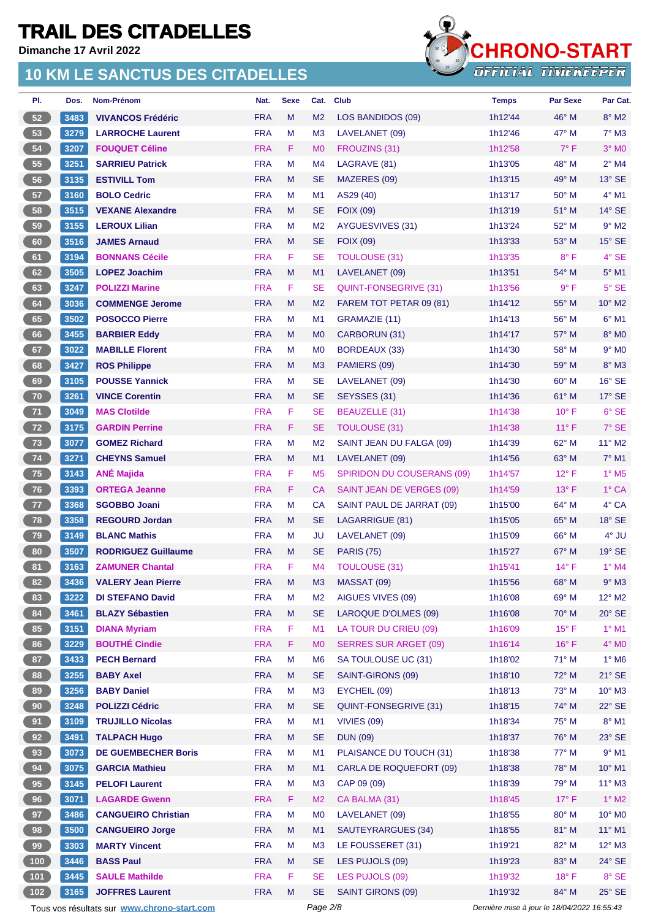**Dimanche 17 Avril 2022**

#### **10 KM LE SANCTUS DES CITADELLES**



| PI.   | Dos. | Nom-Prénom                 | Nat.       | <b>Sexe</b> | Cat.           | <b>Club</b>                       | <b>Temps</b> | <b>Par Sexe</b> | Par Cat.                 |
|-------|------|----------------------------|------------|-------------|----------------|-----------------------------------|--------------|-----------------|--------------------------|
| 52    | 3483 | <b>VIVANCOS Frédéric</b>   | <b>FRA</b> | M           | M <sub>2</sub> | LOS BANDIDOS (09)                 | 1h12'44      | $46^{\circ}$ M  | $8^\circ$ M2             |
| 53    | 3279 | <b>LARROCHE Laurent</b>    | <b>FRA</b> | M           | M <sub>3</sub> | LAVELANET (09)                    | 1h12'46      | 47° M           | $7^\circ$ M3             |
| 54    | 3207 | <b>FOUQUET Céline</b>      | <b>FRA</b> | F           | M <sub>0</sub> | FROUZINS (31)                     | 1h12'58      | $7^\circ$ F     | $3°$ MO                  |
| 55    | 3251 | <b>SARRIEU Patrick</b>     | <b>FRA</b> | M           | M4             | LAGRAVE (81)                      | 1h13'05      | 48° M           | $2^{\circ}$ M4           |
| 56    | 3135 | <b>ESTIVILL Tom</b>        | <b>FRA</b> | M           | SE             | MAZERES (09)                      | 1h13'15      | 49° M           | $13^\circ$ SE            |
| 57    | 3160 | <b>BOLO Cedric</b>         | <b>FRA</b> | М           | M1             | AS29 (40)                         | 1h13'17      | $50^{\circ}$ M  | $4^\circ$ M1             |
| 58    | 3515 | <b>VEXANE Alexandre</b>    | <b>FRA</b> | M           | SE             | <b>FOIX (09)</b>                  | 1h13'19      | 51° M           | $14^{\circ}$ SE          |
| 59    | 3155 | <b>LEROUX Lilian</b>       | <b>FRA</b> | M           | M <sub>2</sub> | AYGUESVIVES (31)                  | 1h13'24      | 52° M           | $9°$ M2                  |
| 60    | 3516 | <b>JAMES Arnaud</b>        | <b>FRA</b> | M           | <b>SE</b>      | <b>FOIX (09)</b>                  | 1h13'33      | 53° M           | $15^\circ$ SE            |
| 61    | 3194 | <b>BONNANS Cécile</b>      | <b>FRA</b> | F           | <b>SE</b>      | <b>TOULOUSE (31)</b>              | 1h13'35      | $8^{\circ}$ F   | 4° SE                    |
| 62    | 3505 | <b>LOPEZ Joachim</b>       | <b>FRA</b> | M           | M1             | LAVELANET (09)                    | 1h13'51      | 54° M           | $5^\circ$ M1             |
| 63    | 3247 | <b>POLIZZI Marine</b>      | <b>FRA</b> | F           | <b>SE</b>      | QUINT-FONSEGRIVE (31)             | 1h13'56      | 9° F            | $5^\circ$ SE             |
| 64    | 3036 | <b>COMMENGE Jerome</b>     | <b>FRA</b> | M           | M <sub>2</sub> | FAREM TOT PETAR 09 (81)           | 1h14'12      | 55° M           | 10° M2                   |
| 65    | 3502 | <b>POSOCCO Pierre</b>      | <b>FRA</b> | M           | M <sub>1</sub> | GRAMAZIE (11)                     | 1h14'13      | 56° M           | $6^{\circ}$ M1           |
| 66    | 3455 | <b>BARBIER Eddy</b>        | <b>FRA</b> | М           | M <sub>0</sub> | CARBORUN (31)                     | 1h14'17      | $57^\circ$ M    | 8° MO                    |
| 67    | 3022 | <b>MABILLE Florent</b>     | <b>FRA</b> | М           | M <sub>0</sub> | <b>BORDEAUX (33)</b>              | 1h14'30      | 58° M           | $9°$ MO                  |
| 68    | 3427 | <b>ROS Philippe</b>        | <b>FRA</b> | M           | M <sub>3</sub> | PAMIERS (09)                      | 1h14'30      | 59° M           | $8^\circ$ M3             |
| 69    | 3105 | <b>POUSSE Yannick</b>      | <b>FRA</b> | M           | SE             | LAVELANET (09)                    | 1h14'30      | 60° M           | $16^\circ$ SE            |
| 70    | 3261 | <b>VINCE Corentin</b>      | <b>FRA</b> | M           | <b>SE</b>      | SEYSSES (31)                      | 1h14'36      | 61° M           | $17^\circ$ SE            |
| 71    | 3049 | <b>MAS Clotilde</b>        | <b>FRA</b> | F           | <b>SE</b>      | BEAUZELLE (31)                    | 1h14'38      | $10^{\circ}$ F  | $6°$ SE                  |
| 72    | 3175 | <b>GARDIN Perrine</b>      | <b>FRA</b> | F           | SE             | <b>TOULOUSE (31)</b>              | 1h14'38      | $11^{\circ}$ F  | $7°$ SE                  |
| 73    | 3077 | <b>GOMEZ Richard</b>       | <b>FRA</b> | M           | M <sub>2</sub> | SAINT JEAN DU FALGA (09)          | 1h14'39      | 62° M           | 11° M2                   |
| 74    | 3271 | <b>CHEYNS Samuel</b>       | <b>FRA</b> | M           | M1             | LAVELANET (09)                    | 1h14'56      | $63^\circ$ M    | $7°$ M1                  |
| 75    | 3143 | <b>ANÉ Majida</b>          | <b>FRA</b> | F           | M <sub>5</sub> | <b>SPIRIDON DU COUSERANS (09)</b> | 1h14'57      | $12^{\circ}$ F  | $1^\circ$ M <sub>5</sub> |
| 76    | 3393 | <b>ORTEGA Jeanne</b>       | <b>FRA</b> | F           | СA             | SAINT JEAN DE VERGES (09)         | 1h14'59      | $13^{\circ}$ F  | $1^\circ$ CA             |
| 77    | 3368 | <b>SGOBBO Joani</b>        | <b>FRA</b> | M           | CA             | SAINT PAUL DE JARRAT (09)         | 1h15'00      | 64° M           | 4° CA                    |
| 78    | 3358 | <b>REGOURD Jordan</b>      | <b>FRA</b> | M           | <b>SE</b>      | LAGARRIGUE (81)                   | 1h15'05      | 65° M           | $18^\circ$ SE            |
| 79    | 3149 | <b>BLANC Mathis</b>        | <b>FRA</b> | М           | JU             | LAVELANET (09)                    | 1h15'09      | 66° M           | 4° JU                    |
| 80    | 3507 | <b>RODRIGUEZ Guillaume</b> | <b>FRA</b> | M           | SE             | <b>PARIS (75)</b>                 | 1h15'27      | $67^\circ$ M    | $19°$ SE                 |
| 81    | 3163 | <b>ZAMUNER Chantal</b>     | <b>FRA</b> | F           | M4             | <b>TOULOUSE (31)</b>              | 1h15'41      | $14^{\circ}$ F  | $1°$ M4                  |
| 82    | 3436 | <b>VALERY Jean Pierre</b>  | <b>FRA</b> | M           | M <sub>3</sub> | MASSAT (09)                       | 1h15'56      | $68^{\circ}$ M  | $9^\circ$ M3             |
| 83    | 3222 | <b>DI STEFANO David</b>    | <b>FRA</b> | М           | M <sub>2</sub> | AIGUES VIVES (09)                 | 1h16'08      | 69° M           | $12^{\circ}$ M2          |
| 84    | 3461 | <b>BLAZY Sébastien</b>     | <b>FRA</b> | M           | <b>SE</b>      | LAROQUE D'OLMES (09)              | 1h16'08      | 70° M           | $20^\circ$ SE            |
| 85    | 3151 | <b>DIANA Myriam</b>        | <b>FRA</b> | F           | M1             | LA TOUR DU CRIEU (09)             | 1h16'09      | $15^{\circ}$ F  | $1^\circ$ M1             |
| 86    | 3229 | <b>BOUTHÉ Cindie</b>       | <b>FRA</b> | F           | M <sub>0</sub> | <b>SERRES SUR ARGET (09)</b>      | 1h16'14      | $16^{\circ}$ F  | $4^\circ$ MO             |
| 87    | 3433 | <b>PECH Bernard</b>        | <b>FRA</b> | M           | M <sub>6</sub> | SA TOULOUSE UC (31)               | 1h18'02      | $71^\circ$ M    | $1^\circ$ M6             |
| 88    | 3255 | <b>BABY Axel</b>           | <b>FRA</b> | M           | <b>SE</b>      | SAINT-GIRONS (09)                 | 1h18'10      | 72° M           | $21^\circ$ SE            |
| 89    | 3256 | <b>BABY Daniel</b>         | <b>FRA</b> | М           | M <sub>3</sub> | EYCHEIL (09)                      | 1h18'13      | 73° M           | $10^{\circ}$ M3          |
| 90    | 3248 | <b>POLIZZI Cédric</b>      | <b>FRA</b> | M           | <b>SE</b>      | QUINT-FONSEGRIVE (31)             | 1h18'15      | 74° M           | $22^\circ$ SE            |
| 91    | 3109 | <b>TRUJILLO Nicolas</b>    | <b>FRA</b> | М           | M <sub>1</sub> | VIVIES (09)                       | 1h18'34      | 75° M           | $8^\circ$ M1             |
| 92    | 3491 | <b>TALPACH Hugo</b>        | <b>FRA</b> | M           | <b>SE</b>      | <b>DUN (09)</b>                   | 1h18'37      | 76° M           | $23^\circ$ SE            |
| 93    | 3073 | <b>DE GUEMBECHER Boris</b> | <b>FRA</b> | M           | M1             | PLAISANCE DU TOUCH (31)           | 1h18'38      | 77° M           | $9°$ M1                  |
| 94    | 3075 | <b>GARCIA Mathieu</b>      | <b>FRA</b> | M           | M1             | CARLA DE ROQUEFORT (09)           | 1h18'38      | 78° M           | 10° M1                   |
| 95    | 3145 | <b>PELOFI Laurent</b>      | <b>FRA</b> | M           | M <sub>3</sub> | CAP 09 (09)                       | 1h18'39      | 79° M           | $11^{\circ}$ M3          |
| 96    | 3071 | <b>LAGARDE Gwenn</b>       | <b>FRA</b> | F           | M <sub>2</sub> | CA BALMA (31)                     | 1h18'45      | $17^{\circ}$ F  | $1^\circ$ M2             |
| 97    | 3486 | <b>CANGUEIRO Christian</b> | <b>FRA</b> | M           | M <sub>0</sub> | LAVELANET (09)                    | 1h18'55      | 80° M           | 10° MO                   |
| 98    | 3500 | <b>CANGUEIRO Jorge</b>     | <b>FRA</b> | M           | M1             | SAUTEYRARGUES (34)                | 1h18'55      | 81° M           | $11^{\circ}$ M1          |
| 99    | 3303 | <b>MARTY Vincent</b>       | <b>FRA</b> | M           | M <sub>3</sub> | LE FOUSSERET (31)                 | 1h19'21      | 82° M           | $12^{\circ}$ M3          |
| $100$ | 3446 | <b>BASS Paul</b>           | <b>FRA</b> | M           | <b>SE</b>      | LES PUJOLS (09)                   | 1h19'23      | 83° M           | $24^\circ$ SE            |
| 101   | 3445 | <b>SAULE Mathilde</b>      | <b>FRA</b> | F           | <b>SE</b>      | LES PUJOLS (09)                   | 1h19'32      | $18^{\circ}$ F  | 8° SE                    |
| 102   | 3165 | <b>JOFFRES Laurent</b>     | <b>FRA</b> | M           | <b>SE</b>      | SAINT GIRONS (09)                 | 1h19'32      | 84° M           | $25^\circ$ SE            |

Tous vos résultats sur **[www.chrono-start.com](https://www.chrono-start.com/)** Page 2/8 Page 2/8 Dernière mise à jour le 18/04/2022 16:55:43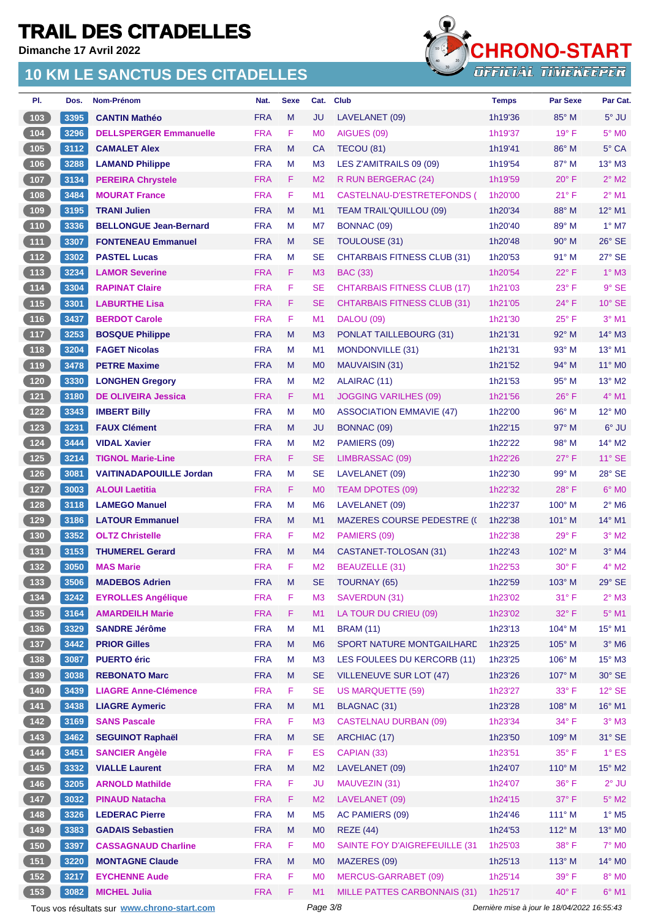**Dimanche 17 Avril 2022**

#### **10 KM LE SANCTUS DES CITADELLES**



| PI.                                           | Dos. | <b>Nom-Prénom</b>              | Nat.       | <b>Sexe</b> | Cat.           | <b>Club</b>                        | <b>Temps</b> | <b>Par Sexe</b> | Par Cat.                   |
|-----------------------------------------------|------|--------------------------------|------------|-------------|----------------|------------------------------------|--------------|-----------------|----------------------------|
| 103                                           | 3395 | <b>CANTIN Mathéo</b>           | <b>FRA</b> | M           | JU             | LAVELANET (09)                     | 1h19'36      | $85^\circ$ M    | $5^\circ$ JU               |
| 104                                           | 3296 | <b>DELLSPERGER Emmanuelle</b>  | <b>FRA</b> | F           | M <sub>0</sub> | AIGUES (09)                        | 1h19'37      | $19°$ F         | 5° M <sub>0</sub>          |
| 105                                           | 3112 | <b>CAMALET Alex</b>            | <b>FRA</b> | M           | <b>CA</b>      | TECOU (81)                         | 1h19'41      | $86^\circ$ M    | $5^\circ$ CA               |
| 106                                           | 3288 | <b>LAMAND Philippe</b>         | <b>FRA</b> | M           | M <sub>3</sub> | LES Z'AMITRAILS 09 (09)            | 1h19'54      | $87^\circ$ M    | $13^\circ$ M3              |
| 107                                           | 3134 | <b>PEREIRA Chrystele</b>       | <b>FRA</b> | F           | M <sub>2</sub> | R RUN BERGERAC (24)                | 1h19'59      | $20^\circ$ F    | $2^{\circ}$ M2             |
| 108                                           | 3484 | <b>MOURAT France</b>           | <b>FRA</b> | F           | M1             | CASTELNAU-D'ESTRETEFONDS (         | 1h20'00      | $21^{\circ}$ F  | $2^{\circ}$ M1             |
| 109                                           | 3195 | <b>TRANI Julien</b>            | <b>FRA</b> | M           | M1             | <b>TEAM TRAIL'QUILLOU (09)</b>     | 1h20'34      | 88° M           | $12^{\circ}$ M1            |
| $110$                                         | 3336 | <b>BELLONGUE Jean-Bernard</b>  | <b>FRA</b> | M           | M7             | BONNAC (09)                        | 1h20'40      | 89° M           | $1^\circ$ M7               |
| $111$                                         | 3307 | <b>FONTENEAU Emmanuel</b>      | <b>FRA</b> | M           | <b>SE</b>      | TOULOUSE (31)                      | 1h20'48      | $90^\circ$ M    | $26^\circ$ SE              |
| $112$                                         | 3302 | <b>PASTEL Lucas</b>            | <b>FRA</b> | M           | <b>SE</b>      | <b>CHTARBAIS FITNESS CLUB (31)</b> | 1h20'53      | 91° M           | 27° SE                     |
| $\begin{array}{c} \boxed{113} \end{array}$    | 3234 | <b>LAMOR Severine</b>          | <b>FRA</b> | F           | M <sub>3</sub> | <b>BAC (33)</b>                    | 1h20'54      | $22^{\circ}$ F  | $1^\circ$ M3               |
| $114$                                         | 3304 | <b>RAPINAT Claire</b>          | <b>FRA</b> | F           | <b>SE</b>      | <b>CHTARBAIS FITNESS CLUB (17)</b> | 1h21'03      | $23^{\circ}$ F  | $9°$ SE                    |
| $115$                                         | 3301 | <b>LABURTHE Lisa</b>           | <b>FRA</b> | F           | <b>SE</b>      | <b>CHTARBAIS FITNESS CLUB (31)</b> | 1h21'05      | $24^{\circ}$ F  | $10^{\circ}$ SE            |
| $116$                                         | 3437 | <b>BERDOT Carole</b>           | <b>FRA</b> | F           | M1             | <b>DALOU (09)</b>                  | 1h21'30      | $25^{\circ}$ F  | $3°$ M1                    |
| $\begin{array}{c} \boxed{117} \\ \end{array}$ | 3253 | <b>BOSQUE Philippe</b>         | <b>FRA</b> | M           | M <sub>3</sub> | PONLAT TAILLEBOURG (31)            | 1h21'31      | $92^\circ$ M    | $14^\circ$ M3              |
| 118                                           | 3204 | <b>FAGET Nicolas</b>           | <b>FRA</b> | M           | M <sub>1</sub> | MONDONVILLE (31)                   | 1h21'31      | 93° M           | 13° M1                     |
| 119                                           | 3478 | <b>PETRE Maxime</b>            | <b>FRA</b> | M           | M <sub>0</sub> | MAUVAISIN (31)                     | 1h21'52      | $94^{\circ}$ M  | $11^{\circ}$ MO            |
| 120                                           | 3330 | <b>LONGHEN Gregory</b>         | <b>FRA</b> | M           | M <sub>2</sub> | ALAIRAC (11)                       | 1h21'53      | $95^\circ$ M    | $13^\circ$ M2              |
| $121$                                         | 3180 | <b>DE OLIVEIRA Jessica</b>     | <b>FRA</b> | F           | M <sub>1</sub> | <b>JOGGING VARILHES (09)</b>       | 1h21'56      | $26^{\circ}$ F  | $4^{\circ}$ M1             |
| $122$                                         | 3343 | <b>IMBERT Billy</b>            | <b>FRA</b> | M           | M <sub>0</sub> | <b>ASSOCIATION EMMAVIE (47)</b>    | 1h22'00      | 96° M           | 12° M0                     |
| 123                                           | 3231 | <b>FAUX Clément</b>            | <b>FRA</b> | M           | JU             | BONNAC (09)                        | 1h22'15      | $97^\circ$ M    | 6° JU                      |
| 124                                           | 3444 | <b>VIDAL Xavier</b>            | <b>FRA</b> | M           | M <sub>2</sub> | PAMIERS (09)                       | 1h22'22      | $98^\circ$ M    | 14° M2                     |
| 125                                           | 3214 | <b>TIGNOL Marie-Line</b>       | <b>FRA</b> | F           | <b>SE</b>      | LIMBRASSAC (09)                    | 1h22'26      | $27^\circ$ F    | $11^\circ$ SE              |
| 126                                           | 3081 | <b>VAITINADAPOUILLE Jordan</b> | <b>FRA</b> | M           | <b>SE</b>      | LAVELANET (09)                     | 1h22'30      | 99° M           | 28° SE                     |
| $127$                                         | 3003 | <b>ALOUI Laetitia</b>          | <b>FRA</b> | F           | M <sub>0</sub> | TEAM DPOTES (09)                   | 1h22'32      | $28^{\circ}$ F  | $6°$ MO                    |
| 128                                           | 3118 | <b>LAMEGO Manuel</b>           | <b>FRA</b> | M           | M <sub>6</sub> | LAVELANET (09)                     | 1h22'37      | $100^\circ$ M   | $2^{\circ}$ M <sub>6</sub> |
| 129                                           | 3186 | <b>LATOUR Emmanuel</b>         | <b>FRA</b> | M           | M1             | <b>MAZERES COURSE PEDESTRE (C</b>  | 1h22'38      | $101^\circ$ M   | 14° M1                     |
| $130$                                         | 3352 | <b>OLTZ Christelle</b>         | <b>FRA</b> | F           | M <sub>2</sub> | PAMIERS (09)                       | 1h22'38      | $29^\circ$ F    | $3°$ M <sub>2</sub>        |
| $131$                                         | 3153 | <b>THUMEREL Gerard</b>         | <b>FRA</b> | M           | M4             | CASTANET-TOLOSAN (31)              | 1h22'43      | 102° M          | $3°$ M4                    |
| 132                                           | 3050 | <b>MAS Marie</b>               | <b>FRA</b> | F           | M <sub>2</sub> | <b>BEAUZELLE (31)</b>              | 1h22'53      | 30° F           | $4^{\circ}$ M2             |
| (133)                                         |      | 3506 MADEBOS Adrien            | FRA M      |             | SE             | TOURNAY (65)                       | 1h22'59      | 103° M          | 29° SE                     |
| 134                                           | 3242 | <b>EYROLLES Angélique</b>      | <b>FRA</b> | F           | M <sub>3</sub> | SAVERDUN (31)                      | 1h23'02      | $31^{\circ}$ F  | $2^{\circ}$ M3             |
| $135$                                         | 3164 | <b>AMARDEILH Marie</b>         | <b>FRA</b> | F           | M1             | LA TOUR DU CRIEU (09)              | 1h23'02      | 32° F           | $5^\circ$ M1               |
| $\left[ 136 \right]$                          | 3329 | <b>SANDRE Jérôme</b>           | <b>FRA</b> | M           | M1             | <b>BRAM (11)</b>                   | 1h23'13      | 104° M          | 15° M1                     |
| (137)                                         | 3442 | <b>PRIOR Gilles</b>            | <b>FRA</b> | M           | M <sub>6</sub> | SPORT NATURE MONTGAILHARD          | 1h23'25      | 105° M          | $3°$ M <sub>6</sub>        |
| $\begin{bmatrix} 138 \end{bmatrix}$           | 3087 | <b>PUERTO éric</b>             | <b>FRA</b> | M           | M <sub>3</sub> | LES FOULEES DU KERCORB (11)        | 1h23'25      | 106° M          | $15^{\circ}$ M3            |
| 139                                           | 3038 | <b>REBONATO Marc</b>           | <b>FRA</b> | M           | <b>SE</b>      | <b>VILLENEUVE SUR LOT (47)</b>     | 1h23'26      | 107° M          | $30^\circ$ SE              |
| 140                                           | 3439 | <b>LIAGRE Anne-Clémence</b>    | <b>FRA</b> | F           | <b>SE</b>      | <b>US MARQUETTE (59)</b>           | 1h23'27      | 33° F           | $12^{\circ}$ SE            |
| $\begin{array}{c} \boxed{141} \end{array}$    | 3438 | <b>LIAGRE Aymeric</b>          | <b>FRA</b> | M           | M1             | <b>BLAGNAC (31)</b>                | 1h23'28      | 108° M          | 16° M1                     |
| $\begin{array}{c} \boxed{142} \\ \end{array}$ | 3169 | <b>SANS Pascale</b>            | <b>FRA</b> | F           | M <sub>3</sub> | <b>CASTELNAU DURBAN (09)</b>       | 1h23'34      | 34° F           | $3^\circ$ M3               |
| 143                                           | 3462 | <b>SEGUINOT Raphaël</b>        | <b>FRA</b> | M           | <b>SE</b>      | ARCHIAC (17)                       | 1h23'50      | 109° M          | 31° SE                     |
| 144                                           | 3451 | <b>SANCIER Angèle</b>          | <b>FRA</b> | F           | <b>ES</b>      | CAPIAN (33)                        | 1h23'51      | $35^{\circ}$ F  | $1^\circ$ ES               |
| 145                                           | 3332 | <b>VIALLE Laurent</b>          | <b>FRA</b> | M           | M <sub>2</sub> | LAVELANET (09)                     | 1h24'07      | $110^\circ$ M   | 15° M2                     |
| 146                                           | 3205 | <b>ARNOLD Mathilde</b>         | <b>FRA</b> | F           | <b>JU</b>      | MAUVEZIN (31)                      | 1h24'07      | $36^{\circ}$ F  | $2^{\circ}$ JU             |
| $147$                                         | 3032 | <b>PINAUD Natacha</b>          | <b>FRA</b> | F           | M <sub>2</sub> | LAVELANET (09)                     | 1h24'15      | $37^\circ$ F    | $5^\circ$ M2               |
| $148$                                         | 3326 | <b>LEDERAC Pierre</b>          | <b>FRA</b> | M           | M <sub>5</sub> | AC PAMIERS (09)                    | 1h24'46      | 111° M          | $1^\circ$ M <sub>5</sub>   |
| 149                                           | 3383 | <b>GADAIS Sebastien</b>        | <b>FRA</b> | M           | M <sub>0</sub> | <b>REZE (44)</b>                   | 1h24'53      | 112° M          | 13° MO                     |
| 150                                           | 3397 | <b>CASSAGNAUD Charline</b>     | <b>FRA</b> | F           | M <sub>0</sub> | SAINTE FOY D'AIGREFEUILLE (31      | 1h25'03      | $38^\circ$ F    | $7^\circ$ MO               |
| 151                                           | 3220 | <b>MONTAGNE Claude</b>         | <b>FRA</b> | M           | M <sub>0</sub> | MAZERES (09)                       | 1h25'13      | $113^\circ$ M   | 14° MO                     |
| $152$                                         | 3217 | <b>EYCHENNE Aude</b>           | <b>FRA</b> | F           | M <sub>0</sub> | <b>MERCUS-GARRABET (09)</b>        | 1h25'14      | $39^\circ$ F    | $8^\circ$ MO               |
| (153)                                         | 3082 | <b>MICHEL Julia</b>            | <b>FRA</b> | F           | M1             | MILLE PATTES CARBONNAIS (31)       | 1h25'17      | $40^{\circ}$ F  | $6^\circ$ M1               |

Tous vos résultats sur **[www.chrono-start.com](https://www.chrono-start.com/)** Page 3/8 Page 3/8 Dernière mise à jour le 18/04/2022 16:55:43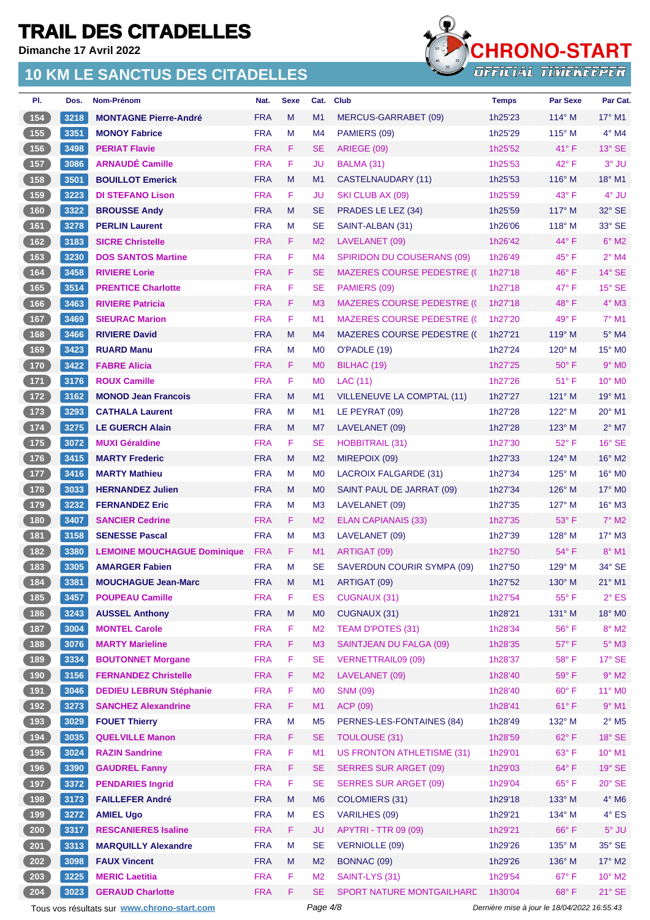**Dimanche 17 Avril 2022**

#### **10 KM LE SANCTUS DES CITADELLES**



| PI.                                        | Dos. | Nom-Prénom                         | Nat.       | <b>Sexe</b> | Cat.           | Club                               | <b>Temps</b> | <b>Par Sexe</b> | Par Cat.                    |
|--------------------------------------------|------|------------------------------------|------------|-------------|----------------|------------------------------------|--------------|-----------------|-----------------------------|
| 154                                        | 3218 | <b>MONTAGNE Pierre-André</b>       | <b>FRA</b> | M           | M1             | MERCUS-GARRABET (09)               | 1h25'23      | $114^\circ$ M   | $17^\circ$ M1               |
| 155                                        | 3351 | <b>MONOY Fabrice</b>               | <b>FRA</b> | M           | M4             | PAMIERS (09)                       | 1h25'29      | $115^\circ$ M   | $4^\circ$ M4                |
| 156                                        | 3498 | <b>PERIAT Flavie</b>               | <b>FRA</b> | F           | <b>SE</b>      | ARIEGE (09)                        | 1h25'52      | $41^{\circ}$ F  | $13^\circ$ SE               |
| 157                                        | 3086 | <b>ARNAUDÉ Camille</b>             | <b>FRA</b> | F           | JU             | BALMA (31)                         | 1h25'53      | $42^{\circ}$ F  | 3° JU                       |
| 158                                        | 3501 | <b>BOUILLOT Emerick</b>            | <b>FRA</b> | M           | M1             | CASTELNAUDARY (11)                 | 1h25'53      | $116^\circ$ M   | $18^{\circ}$ M1             |
| 159                                        | 3223 | <b>DI STEFANO Lison</b>            | <b>FRA</b> | F           | JU             | SKI CLUB AX (09)                   | 1h25'59      | 43° F           | 4° JU                       |
| $160$                                      | 3322 | <b>BROUSSE Andy</b>                | <b>FRA</b> | M           | <b>SE</b>      | PRADES LE LEZ (34)                 | 1h25'59      | $117^\circ$ M   | $32^{\circ}$ SE             |
| 161                                        | 3278 | <b>PERLIN Laurent</b>              | <b>FRA</b> | M           | <b>SE</b>      | SAINT-ALBAN (31)                   | 1h26'06      | $118^\circ$ M   | 33° SE                      |
| 162                                        | 3183 | <b>SICRE Christelle</b>            | <b>FRA</b> | F           | M <sub>2</sub> | LAVELANET (09)                     | 1h26'42      | $44^{\circ}$ F  | $6^\circ$ M2                |
| $163$                                      | 3230 | <b>DOS SANTOS Martine</b>          | <b>FRA</b> | F           | M4             | SPIRIDON DU COUSERANS (09)         | 1h26'49      | $45^{\circ}$ F  | $2^{\circ}$ M4              |
| 164                                        | 3458 | <b>RIVIERE Lorie</b>               | <b>FRA</b> | F           | <b>SE</b>      | <b>MAZERES COURSE PEDESTRE (C</b>  | 1h27'18      | $46^{\circ}$ F  | $14^\circ$ SE               |
| $165$                                      | 3514 | <b>PRENTICE Charlotte</b>          | <b>FRA</b> | F           | <b>SE</b>      | PAMIERS (09)                       | 1h27'18      | $47^\circ$ F    | $15^\circ$ SE               |
| (166)                                      | 3463 | <b>RIVIERE Patricia</b>            | <b>FRA</b> | F           | M <sub>3</sub> | <b>MAZERES COURSE PEDESTRE (()</b> | 1h27'18      | $48^{\circ}$ F  | $4^\circ$ M3                |
| 167                                        | 3469 | <b>SIEURAC Marion</b>              | <b>FRA</b> | F           | M1             | <b>MAZERES COURSE PEDESTRE (C</b>  | 1h27'20      | $49^{\circ}$ F  | $7°$ M1                     |
| $168$                                      | 3466 | <b>RIVIERE David</b>               | <b>FRA</b> | M           | M4             | <b>MAZERES COURSE PEDESTRE (()</b> | 1h27'21      | $119^\circ$ M   | $5^\circ$ M4                |
| 169                                        | 3423 | <b>RUARD Manu</b>                  | <b>FRA</b> | M           | M <sub>0</sub> | O'PADLE (19)                       | 1h27'24      | $120^\circ$ M   | $15^{\circ}$ MO             |
| 170                                        | 3422 | <b>FABRE Alicia</b>                | <b>FRA</b> | F           | M <sub>0</sub> | BILHAC (19)                        | 1h27'25      | $50^\circ$ F    | $9°$ M <sub>0</sub>         |
| $171$                                      | 3176 | <b>ROUX Camille</b>                | <b>FRA</b> | F           | M <sub>0</sub> | LAC (11)                           | 1h27'26      | $51^{\circ}$ F  | $10^{\circ}$ MO             |
| $\boxed{172}$                              | 3162 | <b>MONOD Jean Francois</b>         | <b>FRA</b> | M           | M1             | VILLENEUVE LA COMPTAL (11)         | 1h27'27      | $121^\circ$ M   | $19^\circ$ M1               |
| $\boxed{173}$                              | 3293 | <b>CATHALA Laurent</b>             | <b>FRA</b> | M           | M <sub>1</sub> | LE PEYRAT (09)                     | 1h27'28      | $122^{\circ}$ M | $20^\circ$ M1               |
| $174$                                      | 3275 | <b>LE GUERCH Alain</b>             | <b>FRA</b> | M           | M7             | LAVELANET (09)                     | 1h27'28      | $123^\circ$ M   | $2^{\circ}$ M7              |
| $175$                                      | 3072 | <b>MUXI Géraldine</b>              | <b>FRA</b> | F           | <b>SE</b>      | <b>HOBBITRAIL (31)</b>             | 1h27'30      | 52° F           | $16^\circ$ SE               |
| $\sqrt{176}$                               | 3415 | <b>MARTY Frederic</b>              | <b>FRA</b> | M           | M <sub>2</sub> | MIREPOIX (09)                      | 1h27'33      | $124^\circ$ M   | $16^{\circ}$ M <sub>2</sub> |
| $177$                                      | 3416 | <b>MARTY Mathieu</b>               | <b>FRA</b> | M           | M <sub>0</sub> | <b>LACROIX FALGARDE (31)</b>       | 1h27'34      | $125^\circ$ M   | $16^{\circ}$ MO             |
| 178                                        | 3033 | <b>HERNANDEZ Julien</b>            | <b>FRA</b> | M           | M <sub>0</sub> | SAINT PAUL DE JARRAT (09)          | 1h27'34      | $126^\circ$ M   | $17^\circ$ MO               |
| $179$                                      | 3232 | <b>FERNANDEZ Eric</b>              | <b>FRA</b> | M           | M <sub>3</sub> | LAVELANET (09)                     | 1h27'35      | $127^\circ$ M   | $16^\circ$ M3               |
| (180)                                      | 3407 | <b>SANCIER Cedrine</b>             | <b>FRA</b> | F           | M <sub>2</sub> | <b>ELAN CAPIANAIS (33)</b>         | 1h27'35      | $53^\circ$ F    | $7^\circ$ M2                |
| $181$                                      | 3158 | <b>SENESSE Pascal</b>              | <b>FRA</b> | M           | M <sub>3</sub> | LAVELANET (09)                     | 1h27'39      | $128^\circ$ M   | $17^\circ$ M3               |
| 182                                        | 3380 | <b>LEMOINE MOUCHAGUE Dominique</b> | <b>FRA</b> | F           | M1             | ARTIGAT (09)                       | 1h27'50      | $54^{\circ}$ F  | $8^\circ$ M1                |
| 183                                        | 3305 | <b>AMARGER Fabien</b>              | <b>FRA</b> | M           | <b>SE</b>      | SAVERDUN COURIR SYMPA (09)         | 1h27'50      | $129^\circ$ M   | $34^\circ$ SE               |
| (184)                                      | 3381 | <b>MOUCHAGUE Jean-Marc</b>         | <b>FRA</b> | M           | M1             | ARTIGAT (09)                       | 1h27'52      | $130^\circ$ M   | $21^{\circ}$ M1             |
| 185                                        | 3457 | <b>POUPEAU Camille</b>             | <b>FRA</b> | F           | ES             | <b>CUGNAUX (31)</b>                | 1h27'54      | $55^{\circ}$ F  | $2^{\circ}$ ES              |
| 186                                        | 3243 | <b>AUSSEL Anthony</b>              | <b>FRA</b> | M           | M <sub>0</sub> | CUGNAUX (31)                       | 1h28'21      | 131° M          | 18° MO                      |
| 187                                        | 3004 | <b>MONTEL Carole</b>               | <b>FRA</b> | F           | M <sub>2</sub> | <b>TEAM D'POTES (31)</b>           | 1h28'34      | 56°F            | $8^\circ$ M2                |
| (188)                                      | 3076 | <b>MARTY Marieline</b>             | <b>FRA</b> | F           | M <sub>3</sub> | SAINTJEAN DU FALGA (09)            | 1h28'35      | $57^\circ$ F    | $5^\circ$ M3                |
| 189                                        | 3334 | <b>BOUTONNET Morgane</b>           | <b>FRA</b> | F           | <b>SE</b>      | <b>VERNETTRAIL09 (09)</b>          | 1h28'37      | 58°F            | 17° SE                      |
| (190)                                      | 3156 | <b>FERNANDEZ Christelle</b>        | <b>FRA</b> | F           | M <sub>2</sub> | LAVELANET (09)                     | 1h28'40      | 59°F            | $9°$ M2                     |
| $\begin{array}{c} \boxed{191} \end{array}$ | 3046 | <b>DEDIEU LEBRUN Stéphanie</b>     | <b>FRA</b> | F           | M <sub>0</sub> | <b>SNM (09)</b>                    | 1h28'40      | $60^\circ$ F    | $11^{\circ}$ MO             |
| (192)                                      | 3273 | <b>SANCHEZ Alexandrine</b>         | <b>FRA</b> | F           | M1             | ACP (09)                           | 1h28'41      | 61°F            | $9°$ M1                     |
| 193                                        | 3029 | <b>FOUET Thierry</b>               | <b>FRA</b> | M           | M <sub>5</sub> | PERNES-LES-FONTAINES (84)          | 1h28'49      | 132° M          | $2^{\circ}$ M5              |
| (194)                                      | 3035 | <b>QUELVILLE Manon</b>             | <b>FRA</b> | F           | <b>SE</b>      | <b>TOULOUSE (31)</b>               | 1h28'59      | 62°F            | 18° SE                      |
| $195$                                      | 3024 | <b>RAZIN Sandrine</b>              | <b>FRA</b> | F           | M1             | <b>US FRONTON ATHLETISME (31)</b>  | 1h29'01      | $63^\circ$ F    | $10^{\circ}$ M1             |
| 196                                        | 3390 | <b>GAUDREL Fanny</b>               | <b>FRA</b> | F           | <b>SE</b>      | <b>SERRES SUR ARGET (09)</b>       | 1h29'03      | $64^{\circ}$ F  | $19°$ SE                    |
| 197                                        | 3372 | <b>PENDARIES Ingrid</b>            | <b>FRA</b> | F           | <b>SE</b>      | <b>SERRES SUR ARGET (09)</b>       | 1h29'04      | 65°F            | $20^{\circ}$ SE             |
| (198)                                      | 3173 | <b>FAILLEFER André</b>             | <b>FRA</b> | M           | M <sub>6</sub> | <b>COLOMIERS (31)</b>              | 1h29'18      | 133° M          | $4^\circ$ M6                |
| 199                                        | 3272 | <b>AMIEL Ugo</b>                   | <b>FRA</b> | M           | ES             | <b>VARILHES (09)</b>               | 1h29'21      | 134° M          | $4^\circ$ ES                |
| 200                                        | 3317 | <b>RESCANIERES Isaline</b>         | <b>FRA</b> | F           | <b>JU</b>      | <b>APYTRI - TTR 09 (09)</b>        | 1h29'21      | 66°F            | $5^\circ$ JU                |
| 201                                        | 3313 | <b>MARQUILLY Alexandre</b>         | <b>FRA</b> | M           | <b>SE</b>      | <b>VERNIOLLE (09)</b>              | 1h29'26      | $135^\circ$ M   | 35° SE                      |
| 202                                        | 3098 | <b>FAUX Vincent</b>                | <b>FRA</b> | M           | M <sub>2</sub> | BONNAC (09)                        | 1h29'26      | 136° M          | $17^\circ$ M2               |
| 203                                        | 3225 | <b>MERIC Laetitia</b>              | <b>FRA</b> | F           | M <sub>2</sub> | SAINT-LYS (31)                     | 1h29'54      | 67°F            | $10^{\circ}$ M2             |
| 204                                        | 3023 | <b>GERAUD Charlotte</b>            | <b>FRA</b> | F           | <b>SE</b>      | SPORT NATURE MONTGAILHARD          | 1h30'04      | $68^{\circ}$ F  | $21^\circ$ SE               |

Tous vos résultats sur **[www.chrono-start.com](https://www.chrono-start.com/)** Page 4/8 Page 4/8 Dernière mise à jour le 18/04/2022 16:55:43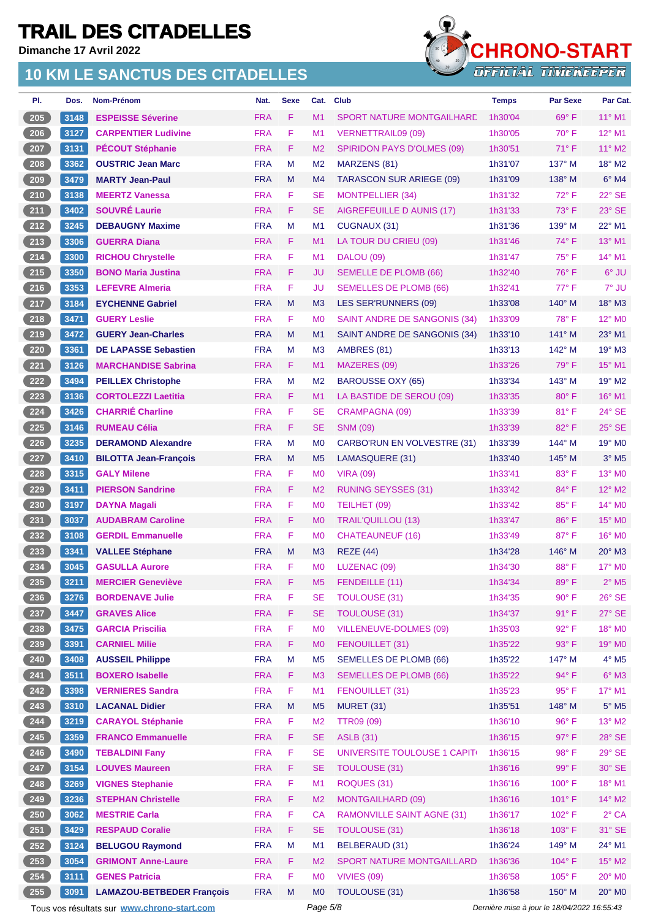**Dimanche 17 Avril 2022**



| PI.    | Dos.         | Nom-Prénom                                  | Nat.       | <b>Sexe</b> | Cat.           | <b>Club</b>                        | <b>Temps</b> | <b>Par Sexe</b>                             | Par Cat.                 |
|--------|--------------|---------------------------------------------|------------|-------------|----------------|------------------------------------|--------------|---------------------------------------------|--------------------------|
| 205    | 3148         | <b>ESPEISSE Séverine</b>                    | <b>FRA</b> | F           | M <sub>1</sub> | <b>SPORT NATURE MONTGAILHARE</b>   | 1h30'04      | $69^\circ$ F                                | $11^{\circ}$ M1          |
| 206    | 3127         | <b>CARPENTIER Ludivine</b>                  | <b>FRA</b> | F           | M1             | <b>VERNETTRAIL09 (09)</b>          | 1h30'05      | $70^\circ$ F                                | 12° M1                   |
| 207    | 3131         | <b>PÉCOUT Stéphanie</b>                     | <b>FRA</b> | F           | M <sub>2</sub> | <b>SPIRIDON PAYS D'OLMES (09)</b>  | 1h30'51      | 71° F                                       | 11° M2                   |
| 208    | 3362         | <b>OUSTRIC Jean Marc</b>                    | <b>FRA</b> | M           | M <sub>2</sub> | MARZENS (81)                       | 1h31'07      | 137° M                                      | $18^\circ$ M2            |
| 209    | 3479         | <b>MARTY Jean-Paul</b>                      | <b>FRA</b> | M           | M <sub>4</sub> | <b>TARASCON SUR ARIEGE (09)</b>    | 1h31'09      | $138^\circ$ M                               | $6°$ M4                  |
| 210    | 3138         | <b>MEERTZ Vanessa</b>                       | <b>FRA</b> | F           | <b>SE</b>      | <b>MONTPELLIER (34)</b>            | 1h31'32      | 72°F                                        | 22° SE                   |
| $211$  | 3402         | <b>SOUVRÉ Laurie</b>                        | <b>FRA</b> | F           | <b>SE</b>      | AIGREFEUILLE D AUNIS (17)          | 1h31'33      | $73^\circ$ F                                | 23° SE                   |
| 212    | 3245         | <b>DEBAUGNY Maxime</b>                      | <b>FRA</b> | M           | M1             | CUGNAUX (31)                       | 1h31'36      | 139° M                                      | 22° M1                   |
| 213    | 3306         | <b>GUERRA Diana</b>                         | <b>FRA</b> | F.          | M1             | LA TOUR DU CRIEU (09)              | 1h31'46      | 74° F                                       | 13° M1                   |
| 214    | 3300         | <b>RICHOU Chrystelle</b>                    | <b>FRA</b> | F.          | M1             | DALOU (09)                         | 1h31'47      | $75^{\circ}$ F                              | $14^{\circ}$ M1          |
| 215    | 3350         | <b>BONO Maria Justina</b>                   | <b>FRA</b> | F           | <b>JU</b>      | <b>SEMELLE DE PLOMB (66)</b>       | 1h32'40      | 76°F                                        | 6° JU                    |
| 216    | 3353         | <b>LEFEVRE Almeria</b>                      | <b>FRA</b> | F           | JU             | <b>SEMELLES DE PLOMB (66)</b>      | 1h32'41      | 77° F                                       | 7° JU                    |
| 217    | 3184         | <b>EYCHENNE Gabriel</b>                     | <b>FRA</b> | M           | M <sub>3</sub> | LES SER'RUNNERS (09)               | 1h33'08      | 140° M                                      | 18° M3                   |
| 218    | 3471         | <b>GUERY Leslie</b>                         | <b>FRA</b> | F           | M <sub>0</sub> | SAINT ANDRE DE SANGONIS (34)       | 1h33'09      | 78°F                                        | 12° MO                   |
| 219    | 3472         | <b>GUERY Jean-Charles</b>                   | <b>FRA</b> | M           | M1             | SAINT ANDRE DE SANGONIS (34)       | 1h33'10      | 141° M                                      | $23^\circ$ M1            |
| 220    | 3361         | <b>DE LAPASSE Sebastien</b>                 | <b>FRA</b> | M           | M <sub>3</sub> | AMBRES (81)                        | 1h33'13      | 142° M                                      | 19° M3                   |
| 221    | 3126         | <b>MARCHANDISE Sabrina</b>                  | <b>FRA</b> | F.          | M1             | MAZERES (09)                       | 1h33'26      | $79^\circ$ F                                | 15° M1                   |
| 222    | 3494         | <b>PEILLEX Christophe</b>                   | <b>FRA</b> | M           | M <sub>2</sub> | <b>BAROUSSE OXY (65)</b>           | 1h33'34      | $143^\circ$ M                               | 19° M2                   |
| 223    |              | <b>CORTOLEZZI Laetitia</b>                  | <b>FRA</b> | F           | M1             |                                    |              | 80°F                                        | 16° M1                   |
|        | 3136         | <b>CHARRIÉ Charline</b>                     | <b>FRA</b> | F           | <b>SE</b>      | LA BASTIDE DE SEROU (09)           | 1h33'35      | 81°F                                        | 24° SE                   |
| 224    | 3426         |                                             |            |             |                | <b>CRAMPAGNA (09)</b>              | 1h33'39      |                                             |                          |
| 225    | 3146         | <b>RUMEAU Célia</b>                         | <b>FRA</b> | F           | <b>SE</b>      | <b>SNM (09)</b>                    | 1h33'39      | 82°F                                        | $25^\circ$ SE            |
| 226    | 3235         | <b>DERAMOND Alexandre</b>                   | <b>FRA</b> | M           | M <sub>0</sub> | <b>CARBO'RUN EN VOLVESTRE (31)</b> | 1h33'39      | 144° M                                      | 19° M <sub>0</sub>       |
| 227    | 3410         | <b>BILOTTA Jean-François</b>                | <b>FRA</b> | M           | M <sub>5</sub> | LAMASQUERE (31)                    | 1h33'40      | $145^\circ$ M                               | $3°$ M <sub>5</sub>      |
| 228    | 3315         | <b>GALY Milene</b>                          | <b>FRA</b> | F           | M <sub>0</sub> | <b>VIRA (09)</b>                   | 1h33'41      | 83° F                                       | 13° MO                   |
| 229    | 3411         | <b>PIERSON Sandrine</b>                     | <b>FRA</b> | F           | M <sub>2</sub> | <b>RUNING SEYSSES (31)</b>         | 1h33'42      | 84°F                                        | 12° M2                   |
| 230    | 3197         | <b>DAYNA Magali</b>                         | <b>FRA</b> | F.          | M <sub>0</sub> | TEILHET (09)                       | 1h33'42      | 85°F                                        | 14° MO                   |
| 231    | 3037         | <b>AUDABRAM Caroline</b>                    | <b>FRA</b> | F           | M <sub>0</sub> | <b>TRAIL'QUILLOU (13)</b>          | 1h33'47      | 86°F                                        | 15° MO                   |
| 232    | 3108         | <b>GERDIL Emmanuelle</b>                    | <b>FRA</b> | F           | M <sub>0</sub> | <b>CHATEAUNEUF (16)</b>            | 1h33'49      | 87°F                                        | 16° MO                   |
| 233    | 3341         | <b>VALLEE Stéphane</b>                      | <b>FRA</b> | M           | M <sub>3</sub> | <b>REZE (44)</b>                   | 1h34'28      | $146^\circ$ M                               | $20^\circ$ M3            |
| 234    | 3045         | <b>GASULLA Aurore</b>                       | <b>FRA</b> | F           | M <sub>0</sub> | LUZENAC (09)                       | 1h34'30      | $88^\circ$ F                                | 17° M0                   |
| $235)$ | $\vert$ 3211 | <b>MERCIER Geneviève</b>                    | <b>FRA</b> | F.          |                | M5 FENDEILLE (11)                  | 1h34'34      | $89^\circ$ F                                | $2^{\circ}$ M5           |
| 236    | 3276         | <b>BORDENAVE Julie</b>                      | <b>FRA</b> | F           | <b>SE</b>      | <b>TOULOUSE (31)</b>               | 1h34'35      | $90^\circ$ F                                | $26^\circ$ SE            |
| 237    | 3447         | <b>GRAVES Alice</b>                         | <b>FRA</b> | F           | <b>SE</b>      | <b>TOULOUSE (31)</b>               | 1h34'37      | 91°F                                        | 27° SE                   |
| 238    | 3475         | <b>GARCIA Priscilia</b>                     | <b>FRA</b> | F           | M <sub>0</sub> | <b>VILLENEUVE-DOLMES (09)</b>      | 1h35'03      | 92° F                                       | 18° MO                   |
| 239    | 3391         | <b>CARNIEL Milie</b>                        | <b>FRA</b> | F           | M <sub>0</sub> | FENOUILLET (31)                    | 1h35'22      | $93^\circ$ F                                | 19° MO                   |
| 240    | 3408         | <b>AUSSEIL Philippe</b>                     | <b>FRA</b> | M           | M <sub>5</sub> | <b>SEMELLES DE PLOMB (66)</b>      | 1h35'22      | 147° M                                      | $4^\circ$ M <sub>5</sub> |
| 241    | 3511         | <b>BOXERO Isabelle</b>                      | <b>FRA</b> | F.          | M <sub>3</sub> | <b>SEMELLES DE PLOMB (66)</b>      | 1h35'22      | $94^{\circ}$ F                              | $6^\circ$ M3             |
| 242    | 3398         | <b>VERNIERES Sandra</b>                     | <b>FRA</b> | F           | M1             | FENOUILLET (31)                    | 1h35'23      | $95^\circ$ F                                | 17° M1                   |
| 243    | 3310         | <b>LACANAL Didier</b>                       | <b>FRA</b> | M           | M <sub>5</sub> | <b>MURET (31)</b>                  | 1h35'51      | 148° M                                      | $5^\circ$ M5             |
| 244    | 3219         | <b>CARAYOL Stéphanie</b>                    | <b>FRA</b> | F.          | M <sub>2</sub> | <b>TTR09 (09)</b>                  | 1h36'10      | 96°F                                        | 13° M2                   |
| 245    | 3359         | <b>FRANCO Emmanuelle</b>                    | <b>FRA</b> | F           | <b>SE</b>      | <b>ASLB</b> (31)                   | 1h36'15      | $97^\circ$ F                                | 28° SE                   |
| 246    | 3490         | <b>TEBALDINI Fany</b>                       | <b>FRA</b> | F           | <b>SE</b>      | UNIVERSITE TOULOUSE 1 CAPIT(       | 1h36'15      | 98°F                                        | 29° SE                   |
| 247    | 3154         | <b>LOUVES Maureen</b>                       | <b>FRA</b> | F           | <b>SE</b>      | <b>TOULOUSE (31)</b>               | 1h36'16      | 99° F                                       | 30° SE                   |
| 248    | 3269         | <b>VIGNES Stephanie</b>                     | <b>FRA</b> | F           | M1             | ROQUES (31)                        | 1h36'16      | 100°F                                       | 18° M1                   |
| 249    | 3236         | <b>STEPHAN Christelle</b>                   | <b>FRA</b> | F.          | M <sub>2</sub> | <b>MONTGAILHARD (09)</b>           | 1h36'16      | 101° F                                      | 14° M2                   |
| 250    | 3062         | <b>MESTRIE Carla</b>                        | <b>FRA</b> | F           | <b>CA</b>      | <b>RAMONVILLE SAINT AGNE (31)</b>  | 1h36'17      | 102°F                                       | $2^{\circ}$ CA           |
| 251    | 3429         | <b>RESPAUD Coralie</b>                      | <b>FRA</b> | F           | <b>SE</b>      | <b>TOULOUSE (31)</b>               | 1h36'18      | $103^\circ$ F                               | 31° SE                   |
| 252    | 3124         | <b>BELUGOU Raymond</b>                      | <b>FRA</b> | M           | M1             | BELBERAUD (31)                     | 1h36'24      | 149° M                                      | 24° M1                   |
| 253    | 3054         | <b>GRIMONT Anne-Laure</b>                   | <b>FRA</b> | F.          | M <sub>2</sub> | <b>SPORT NATURE MONTGAILLARD</b>   | 1h36'36      | 104°F                                       | 15° M2                   |
| 254    | 3111         | <b>GENES Patricia</b>                       | <b>FRA</b> | F           | M <sub>0</sub> | <b>VIVIES (09)</b>                 | 1h36'58      | $105^\circ$ F                               | 20° MO                   |
| 255    | 3091         | <b>LAMAZOU-BETBEDER François</b>            | <b>FRA</b> | M           | M <sub>0</sub> | TOULOUSE (31)                      | 1h36'58      | 150° M                                      | 20° MO                   |
|        |              | Tous vos résultats sur www.chrono-start.com |            |             | Page 5/8       |                                    |              | Dernière mise à jour le 18/04/2022 16:55:43 |                          |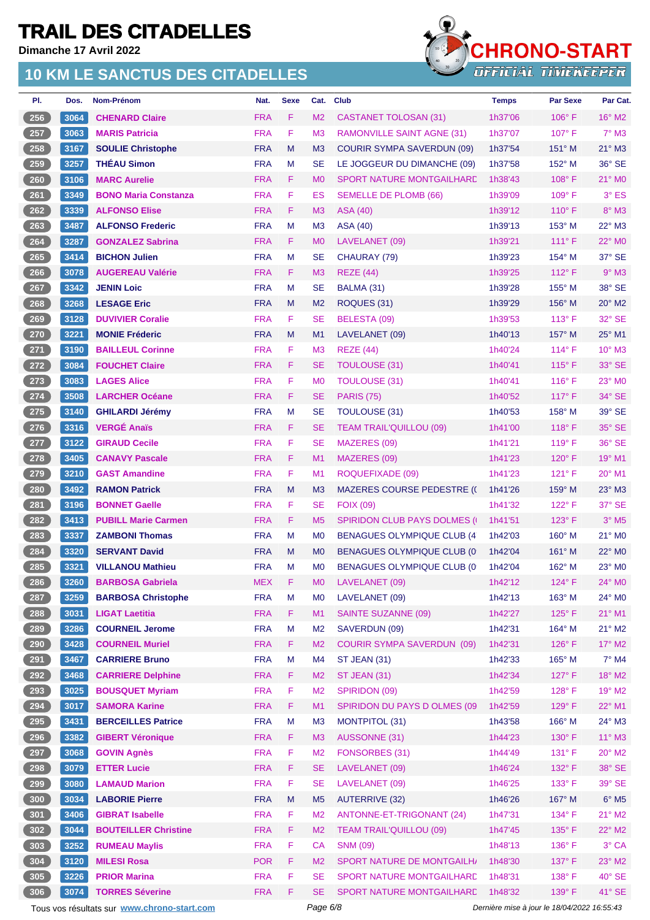**Dimanche 17 Avril 2022**

#### **10 KM LE SANCTUS DES CITADELLES**



| PI. | Dos.   | Nom-Prénom                  | Nat.       | <b>Sexe</b> | Cat.           | <b>Club</b>                          | <b>Temps</b> | <b>Par Sexe</b> | Par Cat.            |
|-----|--------|-----------------------------|------------|-------------|----------------|--------------------------------------|--------------|-----------------|---------------------|
| 256 | 3064   | <b>CHENARD Claire</b>       | <b>FRA</b> | F           | M <sub>2</sub> | CASTANET TOLOSAN (31)                | 1h37'06      | $106^\circ$ F   | $16^{\circ}$ M2     |
| 257 | 3063   | <b>MARIS Patricia</b>       | <b>FRA</b> | F           | M <sub>3</sub> | <b>RAMONVILLE SAINT AGNE (31)</b>    | 1h37'07      | $107^\circ$ F   | $7°$ M3             |
| 258 | 3167   | <b>SOULIE Christophe</b>    | <b>FRA</b> | M           | M <sub>3</sub> | <b>COURIR SYMPA SAVERDUN (09)</b>    | 1h37'54      | $151^\circ$ M   | $21^\circ$ M3       |
| 259 | 3257   | <b>THÉAU Simon</b>          | <b>FRA</b> | М           | <b>SE</b>      | LE JOGGEUR DU DIMANCHE (09)          | 1h37'58      | $152^{\circ}$ M | 36° SE              |
| 260 | 3106   | <b>MARC Aurelie</b>         | <b>FRA</b> | F           | M <sub>0</sub> | <b>SPORT NATURE MONTGAILHARD</b>     | 1h38'43      | $108^\circ$ F   | 21° MO              |
| 261 | 3349   | <b>BONO Maria Constanza</b> | <b>FRA</b> | F           | ES             | <b>SEMELLE DE PLOMB (66)</b>         | 1h39'09      | $109^\circ$ F   | $3°$ ES             |
| 262 | 3339   | <b>ALFONSO Elise</b>        | <b>FRA</b> | F           | M <sub>3</sub> | <b>ASA (40)</b>                      | 1h39'12      | $110^\circ$ F   | 8° M3               |
| 263 | 3487   | <b>ALFONSO Frederic</b>     | <b>FRA</b> | М           | M <sub>3</sub> | <b>ASA (40)</b>                      | 1h39'13      | $153^\circ$ M   | $22^{\circ}$ M3     |
| 264 | 3287   | <b>GONZALEZ Sabrina</b>     | <b>FRA</b> | F           | M <sub>0</sub> | LAVELANET (09)                       | 1h39'21      | $111°$ F        | 22° M <sub>0</sub>  |
| 265 | 3414   | <b>BICHON Julien</b>        | <b>FRA</b> | M           | <b>SE</b>      | CHAURAY (79)                         | 1h39'23      | $154^\circ$ M   | 37° SE              |
| 266 | 3078   | <b>AUGEREAU Valérie</b>     | <b>FRA</b> | F.          | M <sub>3</sub> | <b>REZE (44)</b>                     | 1h39'25      | $112^{\circ}$ F | $9°$ M3             |
| 267 | 3342   | <b>JENIN Loic</b>           | <b>FRA</b> | M           | <b>SE</b>      | BALMA (31)                           | 1h39'28      | 155° M          | 38° SE              |
| 268 | 3268   | <b>LESAGE Eric</b>          | <b>FRA</b> | M           | M <sub>2</sub> | ROQUES (31)                          | 1h39'29      | $156^\circ$ M   | 20° M2              |
| 269 | 3128   | <b>DUVIVIER Coralie</b>     | <b>FRA</b> | F           | <b>SE</b>      | BELESTA (09)                         | 1h39'53      | $113^\circ$ F   | 32° SE              |
| 270 | 3221   | <b>MONIE Fréderic</b>       | <b>FRA</b> | M           | M1             | LAVELANET (09)                       | 1h40'13      | $157^\circ$ M   | 25° M1              |
| 271 | 3190   | <b>BAILLEUL Corinne</b>     | <b>FRA</b> | F           | M <sub>3</sub> | <b>REZE (44)</b>                     | 1h40'24      | $114^{\circ}$ F | $10^{\circ}$ M3     |
| 272 | 3084   | <b>FOUCHET Claire</b>       | <b>FRA</b> | F.          | <b>SE</b>      | <b>TOULOUSE (31)</b>                 | 1h40'41      | $115^\circ$ F   | 33° SE              |
| 273 | 3083   | <b>LAGES Alice</b>          | <b>FRA</b> | F           | M <sub>0</sub> | <b>TOULOUSE (31)</b>                 | 1h40'41      | $116^\circ$ F   | 23° M0              |
| 274 | 3508   | <b>LARCHER Océane</b>       | <b>FRA</b> | F.          | <b>SE</b>      | <b>PARIS (75)</b>                    | 1h40'52      | $117^\circ$ F   | 34° SE              |
| 275 | 3140   | <b>GHILARDI Jérémy</b>      | <b>FRA</b> | М           | <b>SE</b>      | TOULOUSE (31)                        | 1h40'53      | 158° M          | 39° SE              |
| 276 | 3316   | <b>VERGÉ Anaïs</b>          | <b>FRA</b> | F.          | <b>SE</b>      | <b>TEAM TRAIL'QUILLOU (09)</b>       | 1h41'00      | $118^\circ$ F   | 35° SE              |
| 277 | 3122   | <b>GIRAUD Cecile</b>        | <b>FRA</b> | F           | <b>SE</b>      | MAZERES (09)                         | 1h41'21      | $119^\circ$ F   | 36° SE              |
| 278 | 3405   | <b>CANAVY Pascale</b>       | <b>FRA</b> | F           | M1             | MAZERES (09)                         | 1h41'23      | 120° F          | 19° M1              |
| 279 | 3210   | <b>GAST Amandine</b>        | <b>FRA</b> | F           | M1             | ROQUEFIXADE (09)                     | 1h41'23      | $121^\circ$ F   | 20° M1              |
| 280 | 3492   | <b>RAMON Patrick</b>        | <b>FRA</b> | M           | M3             | <b>MAZERES COURSE PEDESTRE (()</b>   | 1h41'26      | 159° M          | 23° M3              |
| 281 | 3196   | <b>BONNET Gaelle</b>        | <b>FRA</b> | F           | <b>SE</b>      | <b>FOIX (09)</b>                     | 1h41'32      | $122^{\circ}$ F | 37° SE              |
| 282 | 3413   | <b>PUBILL Marie Carmen</b>  | <b>FRA</b> | F           | M <sub>5</sub> | <b>SPIRIDON CLUB PAYS DOLMES (I)</b> | 1h41'51      | $123^\circ$ F   | $3°$ M <sub>5</sub> |
| 283 | 3337   | <b>ZAMBONI Thomas</b>       | <b>FRA</b> | М           | M <sub>0</sub> | <b>BENAGUES OLYMPIQUE CLUB (4)</b>   | 1h42'03      | $160^\circ$ M   | 21° M0              |
| 284 | 3320   | <b>SERVANT David</b>        | <b>FRA</b> | M           | M <sub>0</sub> | <b>BENAGUES OLYMPIQUE CLUB (0)</b>   | 1h42'04      | $161^\circ$ M   | 22° M0              |
| 285 | 3321   | <b>VILLANOU Mathieu</b>     | <b>FRA</b> | M           | M <sub>0</sub> | <b>BENAGUES OLYMPIQUE CLUB (0)</b>   | 1h42'04      | 162° M          | 23° MO              |
| 286 | 3260   | <b>BARBOSA Gabriela</b>     | <b>MEX</b> | $\mathsf F$ | <b>MO</b>      | LAVELANET (09)                       | 1h42'12      | 124°F           | 24° MO              |
| 287 | 3259   | <b>BARBOSA Christophe</b>   | <b>FRA</b> | M           | M <sub>0</sub> | LAVELANET (09)                       | 1h42'13      | $163^\circ$ M   | 24° MO              |
| 288 | $3031$ | <b>LIGAT Laetitia</b>       | <b>FRA</b> | F           | M1             | <b>SAINTE SUZANNE (09)</b>           | 1h42'27      | $125^\circ$ F   | $21^{\circ}$ M1     |
| 289 | 3286   | <b>COURNEIL Jerome</b>      | <b>FRA</b> | M           | M <sub>2</sub> | SAVERDUN (09)                        | 1h42'31      | 164° M          | $21^{\circ}$ M2     |
| 290 | 3428   | <b>COURNEIL Muriel</b>      | <b>FRA</b> | F           | M <sub>2</sub> | <b>COURIR SYMPA SAVERDUN (09)</b>    | 1h42'31      | $126^\circ$ F   | 17° M2              |
| 291 | 3467   | <b>CARRIERE Bruno</b>       | <b>FRA</b> | M           | M4             | ST JEAN (31)                         | 1h42'33      | 165° M          | $7^\circ$ M4        |
| 292 | 3468   | <b>CARRIERE Delphine</b>    | <b>FRA</b> | F           | M <sub>2</sub> | <b>ST JEAN (31)</b>                  | 1h42'34      | $127^\circ$ F   | 18° M2              |
| 293 | 3025   | <b>BOUSQUET Myriam</b>      | <b>FRA</b> | F           | M <sub>2</sub> | SPIRIDON (09)                        | 1h42'59      | $128^\circ$ F   | 19° M2              |
| 294 | 3017   | <b>SAMORA Karine</b>        | <b>FRA</b> | F.          | M1             | SPIRIDON DU PAYS D OLMES (09         | 1h42'59      | $129^\circ$ F   | 22° M1              |
| 295 | 3431   | <b>BERCEILLES Patrice</b>   | <b>FRA</b> | M           | M <sub>3</sub> | <b>MONTPITOL (31)</b>                | 1h43'58      | 166° M          | 24° M3              |
| 296 | 3382   | <b>GIBERT Véronique</b>     | <b>FRA</b> | F           | M <sub>3</sub> | AUSSONNE (31)                        | 1h44'23      | 130° F          | $11^{\circ}$ M3     |
| 297 | 3068   | <b>GOVIN Agnès</b>          | <b>FRA</b> | F           | M <sub>2</sub> | FONSORBES (31)                       | 1h44'49      | $131^\circ$ F   | $20^\circ$ M2       |
| 298 | 3079   | <b>ETTER Lucie</b>          | <b>FRA</b> | F           | <b>SE</b>      | LAVELANET (09)                       | 1h46'24      | 132° F          | 38° SE              |
| 299 | 3080   | <b>LAMAUD Marion</b>        | <b>FRA</b> | F           | <b>SE</b>      | LAVELANET (09)                       | 1h46'25      | $133^\circ$ F   | 39° SE              |
| 300 | 3034   | <b>LABORIE Pierre</b>       | <b>FRA</b> | ${\sf M}$   | M <sub>5</sub> | <b>AUTERRIVE (32)</b>                | 1h46'26      | 167° M          | $6^\circ$ M5        |
| 301 | 3406   | <b>GIBRAT Isabelle</b>      | <b>FRA</b> | F           | M <sub>2</sub> | ANTONNE-ET-TRIGONANT (24)            | 1h47'31      | $134^\circ$ F   | $21^{\circ}$ M2     |
| 302 | 3044   | <b>BOUTEILLER Christine</b> | <b>FRA</b> | F           | M <sub>2</sub> | <b>TEAM TRAIL'QUILLOU (09)</b>       | 1h47'45      | $135^\circ$ F   | $22^{\circ}$ M2     |
| 303 | 3252   | <b>RUMEAU Maylis</b>        | <b>FRA</b> | F           | CA             | <b>SNM (09)</b>                      | 1h48'13      | $136^\circ$ F   | 3° CA               |
| 304 | 3120   | <b>MILESI Rosa</b>          | <b>POR</b> | F           | M <sub>2</sub> | SPORT NATURE DE MONTGAILH/           | 1h48'30      | $137^\circ$ F   | 23° M2              |
| 305 | 3226   | <b>PRIOR Marina</b>         | <b>FRA</b> | F           | <b>SE</b>      | SPORT NATURE MONTGAILHARD            | 1h48'31      | $138^\circ$ F   | $40^\circ$ SE       |
| 306 | 3074   | <b>TORRES Séverine</b>      | <b>FRA</b> | F           | <b>SE</b>      | SPORT NATURE MONTGAILHARD            | 1h48'32      | 139° F          | 41° SE              |

Tous vos résultats sur **[www.chrono-start.com](https://www.chrono-start.com/)** Page 6/8 Page 6/8 Dernière mise à jour le 18/04/2022 16:55:43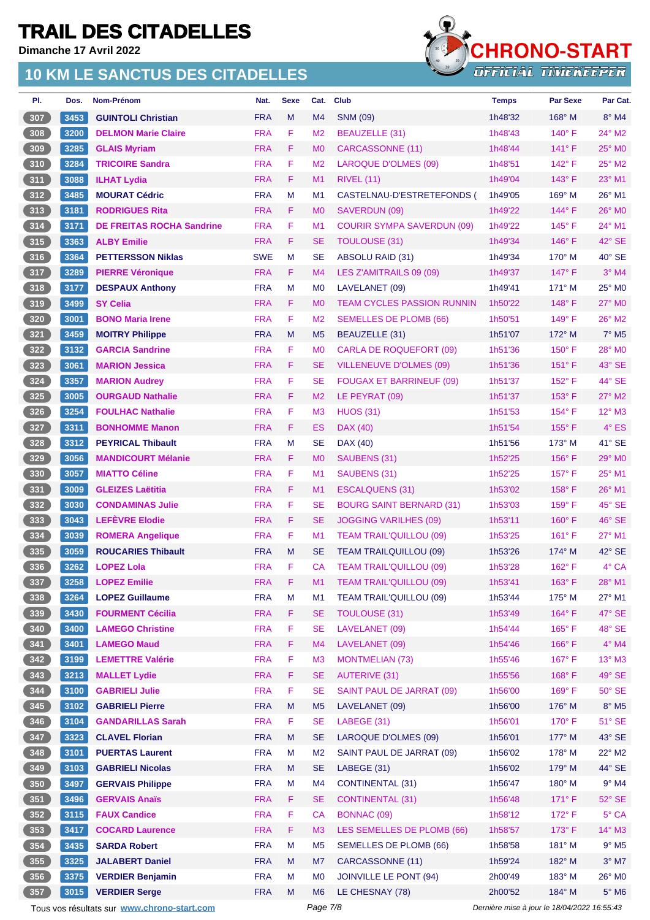**Dimanche 17 Avril 2022**



| PI.           | Dos. | Nom-Prénom                                  | Nat.       | <b>Sexe</b> | Cat.           | <b>Club</b>                       | <b>Temps</b>                                | <b>Par Sexe</b> | Par Cat.                  |
|---------------|------|---------------------------------------------|------------|-------------|----------------|-----------------------------------|---------------------------------------------|-----------------|---------------------------|
| 307           | 3453 | <b>GUINTOLI Christian</b>                   | <b>FRA</b> | M           | M4             | <b>SNM (09)</b>                   | 1h48'32                                     | $168^\circ$ M   | $8^\circ$ M4              |
| 308           | 3200 | <b>DELMON Marie Claire</b>                  | <b>FRA</b> | F           | M <sub>2</sub> | <b>BEAUZELLE (31)</b>             | 1h48'43                                     | $140^\circ$ F   | 24° M2                    |
| 309           | 3285 | <b>GLAIS Myriam</b>                         | <b>FRA</b> | F.          | M <sub>0</sub> | <b>CARCASSONNE (11)</b>           | 1h48'44                                     | $141^\circ$ F   | 25° MO                    |
| 310           | 3284 | <b>TRICOIRE Sandra</b>                      | <b>FRA</b> | F           | M <sub>2</sub> | <b>LAROQUE D'OLMES (09)</b>       | 1h48'51                                     | $142^\circ$ F   | $25^\circ$ M <sub>2</sub> |
| $\boxed{311}$ | 3088 | <b>ILHAT Lydia</b>                          | <b>FRA</b> | F.          | M <sub>1</sub> | <b>RIVEL (11)</b>                 | 1h49'04                                     | $143^\circ$ F   | $23^\circ$ M1             |
| 312           | 3485 | <b>MOURAT Cédric</b>                        | <b>FRA</b> | М           | M <sub>1</sub> | CASTELNAU-D'ESTRETEFONDS (        | 1h49'05                                     | $169^\circ$ M   | 26° M1                    |
| 313           | 3181 | <b>RODRIGUES Rita</b>                       | <b>FRA</b> | F           | M <sub>0</sub> | SAVERDUN (09)                     | 1h49'22                                     | $144^{\circ}$ F | $26^\circ$ MO             |
| 314           | 3171 | <b>DE FREITAS ROCHA Sandrine</b>            | <b>FRA</b> | F           | M <sub>1</sub> | <b>COURIR SYMPA SAVERDUN (09)</b> | 1h49'22                                     | $145^\circ$ F   | 24° M1                    |
| 315           | 3363 | <b>ALBY Emilie</b>                          | <b>FRA</b> | F           | <b>SE</b>      | <b>TOULOUSE (31)</b>              | 1h49'34                                     | $146^\circ$ F   | 42° SE                    |
| 316           | 3364 | <b>PETTERSSON Niklas</b>                    | <b>SWE</b> | M           | <b>SE</b>      | <b>ABSOLU RAID (31)</b>           | 1h49'34                                     | $170^\circ$ M   | 40° SE                    |
| 317           | 3289 | <b>PIERRE Véronique</b>                     | <b>FRA</b> | F           | M <sub>4</sub> | LES Z'AMITRAILS 09 (09)           | 1h49'37                                     | $147^\circ$ F   | $3°$ M4                   |
| $318$         | 3177 | <b>DESPAUX Anthony</b>                      | <b>FRA</b> | M           | M <sub>0</sub> | LAVELANET (09)                    | 1h49'41                                     | $171^\circ$ M   | $25^\circ$ MO             |
| 319           | 3499 | <b>SY Celia</b>                             | <b>FRA</b> | F.          | M <sub>0</sub> | <b>TEAM CYCLES PASSION RUNNIN</b> | 1h50'22                                     | $148^\circ$ F   | $27^\circ$ MO             |
| 320           | 3001 | <b>BONO Maria Irene</b>                     | <b>FRA</b> | F           | M <sub>2</sub> | SEMELLES DE PLOMB (66)            | 1h50'51                                     | $149^\circ$ F   | 26° M2                    |
| 321           | 3459 | <b>MOITRY Philippe</b>                      | <b>FRA</b> | M           | M <sub>5</sub> | <b>BEAUZELLE (31)</b>             | 1h51'07                                     | 172° M          | $7^\circ$ M <sub>5</sub>  |
| 322           | 3132 | <b>GARCIA Sandrine</b>                      | <b>FRA</b> | F           | M <sub>0</sub> | <b>CARLA DE ROQUEFORT (09)</b>    | 1h51'36                                     | $150^\circ$ F   | 28° M0                    |
| 323           | 3061 | <b>MARION Jessica</b>                       | <b>FRA</b> | F           | <b>SE</b>      | VILLENEUVE D'OLMES (09)           | 1h51'36                                     | $151^\circ$ F   | 43° SE                    |
| 324           | 3357 | <b>MARION Audrey</b>                        | <b>FRA</b> | F           | SE             | <b>FOUGAX ET BARRINEUF (09)</b>   | 1h51'37                                     | $152^{\circ}$ F | $44^{\circ}$ SE           |
| 325           | 3005 | <b>OURGAUD Nathalie</b>                     | <b>FRA</b> | F           | M <sub>2</sub> | LE PEYRAT (09)                    | 1h51'37                                     | $153^\circ$ F   | 27° M2                    |
| $326$         | 3254 | <b>FOULHAC Nathalie</b>                     | <b>FRA</b> | F           | M <sub>3</sub> | <b>HUOS (31)</b>                  | 1h51'53                                     | $154^\circ$ F   | 12° M3                    |
| 327           | 3311 | <b>BONHOMME Manon</b>                       | <b>FRA</b> | F.          | ES             | DAX (40)                          | 1h51'54                                     | $155^{\circ}$ F | $4^\circ$ ES              |
| 328           | 3312 | <b>PEYRICAL Thibault</b>                    | <b>FRA</b> | M           | <b>SE</b>      | DAX (40)                          | 1h51'56                                     | $173^\circ$ M   | 41° SE                    |
| 329           | 3056 | <b>MANDICOURT Mélanie</b>                   | <b>FRA</b> | F           | M <sub>0</sub> | SAUBENS (31)                      | 1h52'25                                     | $156^\circ$ F   | $29^\circ$ MO             |
| 330           | 3057 | <b>MIATTO Céline</b>                        | <b>FRA</b> | F           | M <sub>1</sub> | SAUBENS (31)                      | 1h52'25                                     | $157^\circ$ F   | 25° M1                    |
| 331           | 3009 | <b>GLEIZES Laëtitia</b>                     | <b>FRA</b> | F           | M <sub>1</sub> | <b>ESCALQUENS (31)</b>            | 1h53'02                                     | $158^\circ$ F   | 26° M1                    |
| $332$         | 3030 | <b>CONDAMINAS Julie</b>                     | <b>FRA</b> | F           | <b>SE</b>      | <b>BOURG SAINT BERNARD (31)</b>   | 1h53'03                                     | $159^\circ$ F   | 45° SE                    |
| 333           | 3043 | <b>LEFÈVRE Elodie</b>                       | <b>FRA</b> | F           | <b>SE</b>      | <b>JOGGING VARILHES (09)</b>      | 1h53'11                                     | $160^\circ$ F   | 46° SE                    |
| 334           | 3039 | <b>ROMERA Angelique</b>                     | <b>FRA</b> | F           | M <sub>1</sub> | <b>TEAM TRAIL'QUILLOU (09)</b>    | 1h53'25                                     | $161^\circ$ F   | 27° M1                    |
| 335           | 3059 | <b>ROUCARIES Thibault</b>                   | <b>FRA</b> | M           | SE             | <b>TEAM TRAILQUILLOU (09)</b>     | 1h53'26                                     | $174^\circ$ M   | $42^{\circ}$ SE           |
| 336           | 3262 | <b>LOPEZ Lola</b>                           | <b>FRA</b> | F           | <b>CA</b>      | <b>TEAM TRAIL'QUILLOU (09)</b>    | 1h53'28                                     | $162^{\circ}$ F | 4° CA                     |
| $337$         | 3258 | <b>LOPEZ Emilie</b>                         | <b>FRA</b> | F           | M1             | TEAM TRAIL'QUILLOU (09)           | 1h53'41                                     | $163^\circ$ F   | 28° M1                    |
| 338           | 3264 | <b>LOPEZ Guillaume</b>                      | <b>FRA</b> | M           | M1             | <b>TEAM TRAIL'QUILLOU (09)</b>    | 1h53'44                                     | $175^\circ$ M   | $27^\circ$ M1             |
| 339           | 3430 | <b>FOURMENT Cécilia</b>                     | <b>FRA</b> | F.          | <b>SE</b>      | <b>TOULOUSE (31)</b>              | 1h53'49                                     | 164°F           | 47° SE                    |
| $340$         | 3400 | <b>LAMEGO Christine</b>                     | <b>FRA</b> | F           | <b>SE</b>      | LAVELANET (09)                    | 1h54'44                                     | $165^\circ$ F   | 48° SE                    |
| 341           | 3401 | <b>LAMEGO Maud</b>                          | <b>FRA</b> | F.          | M <sub>4</sub> | LAVELANET (09)                    | 1h54'46                                     | 166°F           | $4^\circ$ M4              |
| $342$         | 3199 | <b>LEMETTRE Valérie</b>                     | <b>FRA</b> | F           | M <sub>3</sub> | <b>MONTMELIAN (73)</b>            | 1h55'46                                     | $167^\circ$ F   | $13^\circ$ M3             |
| 343           | 3213 | <b>MALLET Lydie</b>                         | <b>FRA</b> | F.          | <b>SE</b>      | <b>AUTERIVE (31)</b>              | 1h55'56                                     | 168°F           | $49^\circ$ SE             |
| $344$         | 3100 | <b>GABRIELI Julie</b>                       | <b>FRA</b> | F           | <b>SE</b>      | SAINT PAUL DE JARRAT (09)         | 1h56'00                                     | 169°F           | $50^\circ$ SE             |
| 345           | 3102 | <b>GABRIELI Pierre</b>                      | <b>FRA</b> | M           | M <sub>5</sub> | LAVELANET (09)                    | 1h56'00                                     | 176° M          | $8^\circ$ M5              |
| $346$         | 3104 | <b>GANDARILLAS Sarah</b>                    | <b>FRA</b> | F           | <b>SE</b>      | LABEGE (31)                       | 1h56'01                                     | $170^\circ$ F   | $51^\circ$ SE             |
| 347           | 3323 | <b>CLAVEL Florian</b>                       | <b>FRA</b> | M           | <b>SE</b>      | LAROQUE D'OLMES (09)              | 1h56'01                                     | 177° M          | 43° SE                    |
| $348$         | 3101 | <b>PUERTAS Laurent</b>                      | <b>FRA</b> | M           | M <sub>2</sub> | SAINT PAUL DE JARRAT (09)         | 1h56'02                                     | 178° M          | $22^{\circ}$ M2           |
| 349           | 3103 | <b>GABRIELI Nicolas</b>                     | <b>FRA</b> | M           | <b>SE</b>      | LABEGE (31)                       | 1h56'02                                     | 179° M          | 44° SE                    |
| 350           | 3497 | <b>GERVAIS Philippe</b>                     | <b>FRA</b> | M           | M <sub>4</sub> | <b>CONTINENTAL (31)</b>           | 1h56'47                                     | $180^\circ$ M   | $9°$ M4                   |
| 351           | 3496 | <b>GERVAIS Anaïs</b>                        | <b>FRA</b> | F.          | <b>SE</b>      | <b>CONTINENTAL (31)</b>           | 1h56'48                                     | $171^\circ$ F   | 52° SE                    |
| $352$         | 3115 | <b>FAUX Candice</b>                         | <b>FRA</b> | F           | <b>CA</b>      | BONNAC (09)                       | 1h58'12                                     | $172^\circ$ F   | 5° CA                     |
| 353           | 3417 | <b>COCARD Laurence</b>                      | <b>FRA</b> | F           | M <sub>3</sub> | LES SEMELLES DE PLOMB (66)        | 1h58'57                                     | 173° F          | 14° M3                    |
| $354$         | 3435 | <b>SARDA Robert</b>                         | <b>FRA</b> | M           | M <sub>5</sub> | SEMELLES DE PLOMB (66)            | 1h58'58                                     | 181° M          | $9°$ M <sub>5</sub>       |
| 355           | 3325 | <b>JALABERT Daniel</b>                      | <b>FRA</b> | M           | M7             | CARCASSONNE (11)                  | 1h59'24                                     | 182° M          | $3°$ M7                   |
| 356           | 3375 | <b>VERDIER Benjamin</b>                     | <b>FRA</b> | М           | M <sub>0</sub> | <b>JOINVILLE LE PONT (94)</b>     | 2h00'49                                     | 183° M          | 26° M0                    |
| 357           | 3015 | <b>VERDIER Serge</b>                        | <b>FRA</b> | M           | M <sub>6</sub> | LE CHESNAY (78)                   | 2h00'52                                     | 184° M          | $5^\circ$ M6              |
|               |      | Tous vos résultats sur www.chrono-start.com |            |             | Page 7/8       |                                   | Dernière mise à jour le 18/04/2022 16:55:43 |                 |                           |